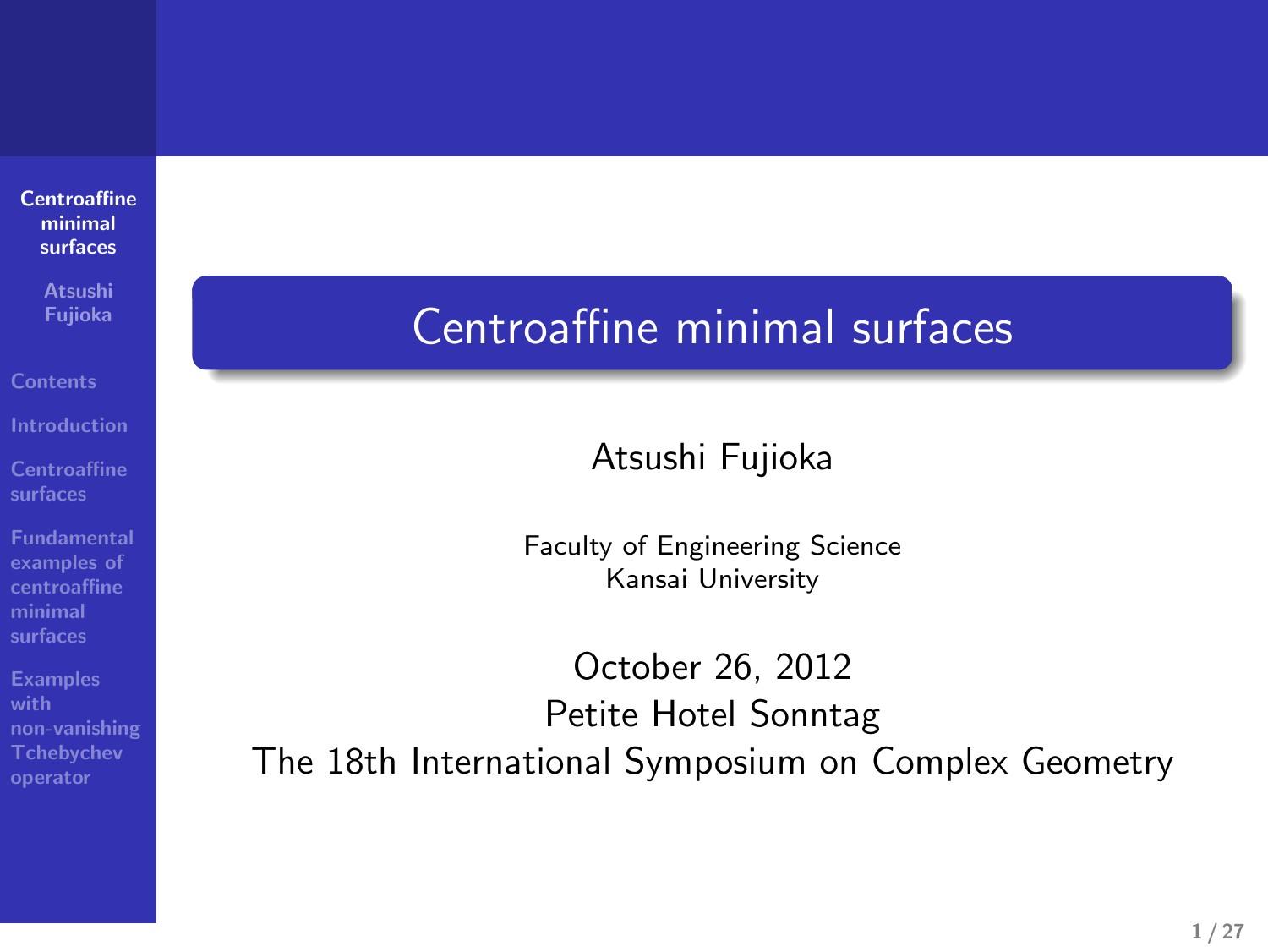# **Atsushi Fujioka**

**Centroaffine surfaces**

**Fundamental examples of centroaffine minimal surfaces**

**Examples with non-vanishing Tchebychev operator**

# Centroaffine minimal surfaces

rtsushi ndjioka kwa wakazi wa wakazi wa wakazi wa wakazi wa wakazi wa wakazi wa wakazi wa wakazi wa wakazi wa<br>Mwaka wa wakazi wa wakazi wa wakazi wa wakazi wa wakazi wa wakazi wa wakazi wa wakazi wa wakazi wa wakazi wa w Atsushi Fujioka

> Faculty of Engineering Science Kansai University

October 26, 2012 Petite Hotel Sonntag The 18th International Symposium on Complex Geometry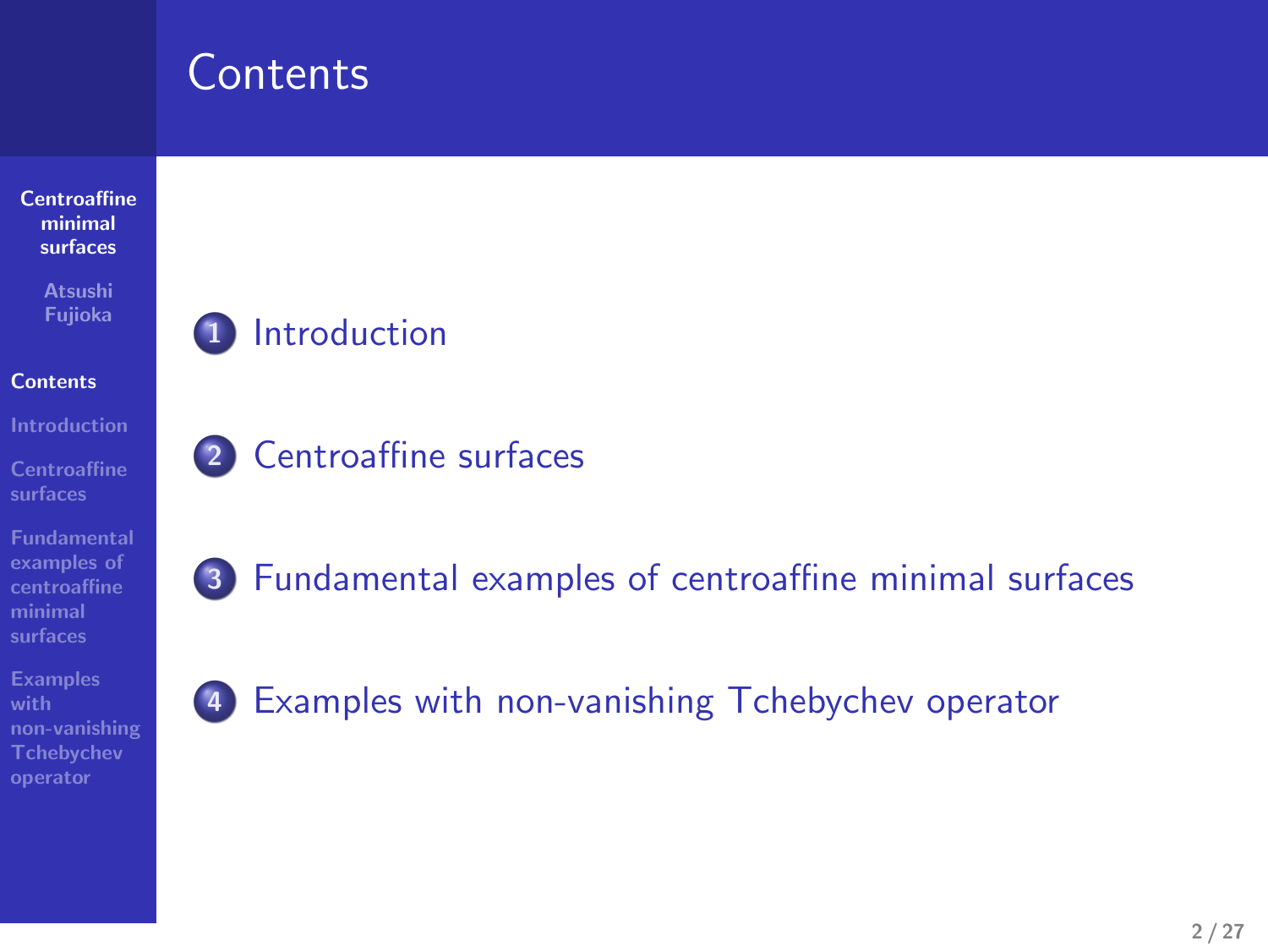# **Contents**



**Centroaffine surfaces**

. .

. .

. .

**Fundamental examples of centroaffine minimal surfaces**

**Examples with non-vanishing Tchebychev operator**

#### **1** Introduction

**2** Centroaffine surfaces

**3** Fundamental examples of centroaffine minimal surfaces

**4** Examples with non-vanishing Tchebychev operator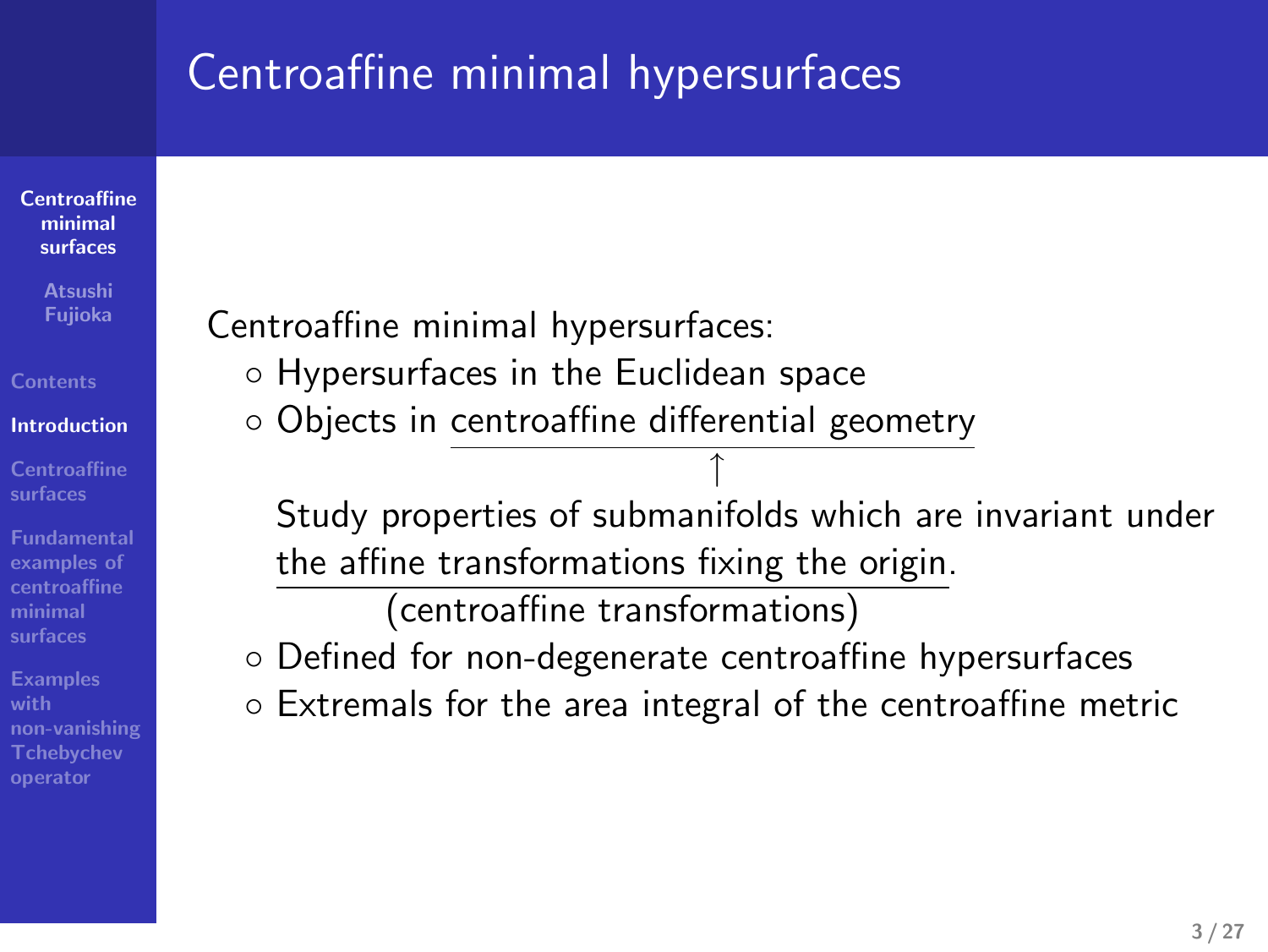# Centroaffine minimal hypersurfaces

**Centroaffine minimal surfaces**

**Atsushi Fujioka**

**Introduction**

**Centroaffine surfaces Fundamental examples of centroaffine minimal surfaces**

**Examples with non-vanishing Tchebychev operator** Centroaffine minimal hypersurfaces:

- *◦* Hypersurfaces in the Euclidean space
- *◦* Objects in centroaffine differential geometry

Study properties of submanifolds which are invariant under the affine transformations fixing the origin. (centroaffine transformations)

*↑*

- *◦* Defined for non-degenerate centroaffine hypersurfaces
- *◦* Extremals for the area integral of the centroaffine metric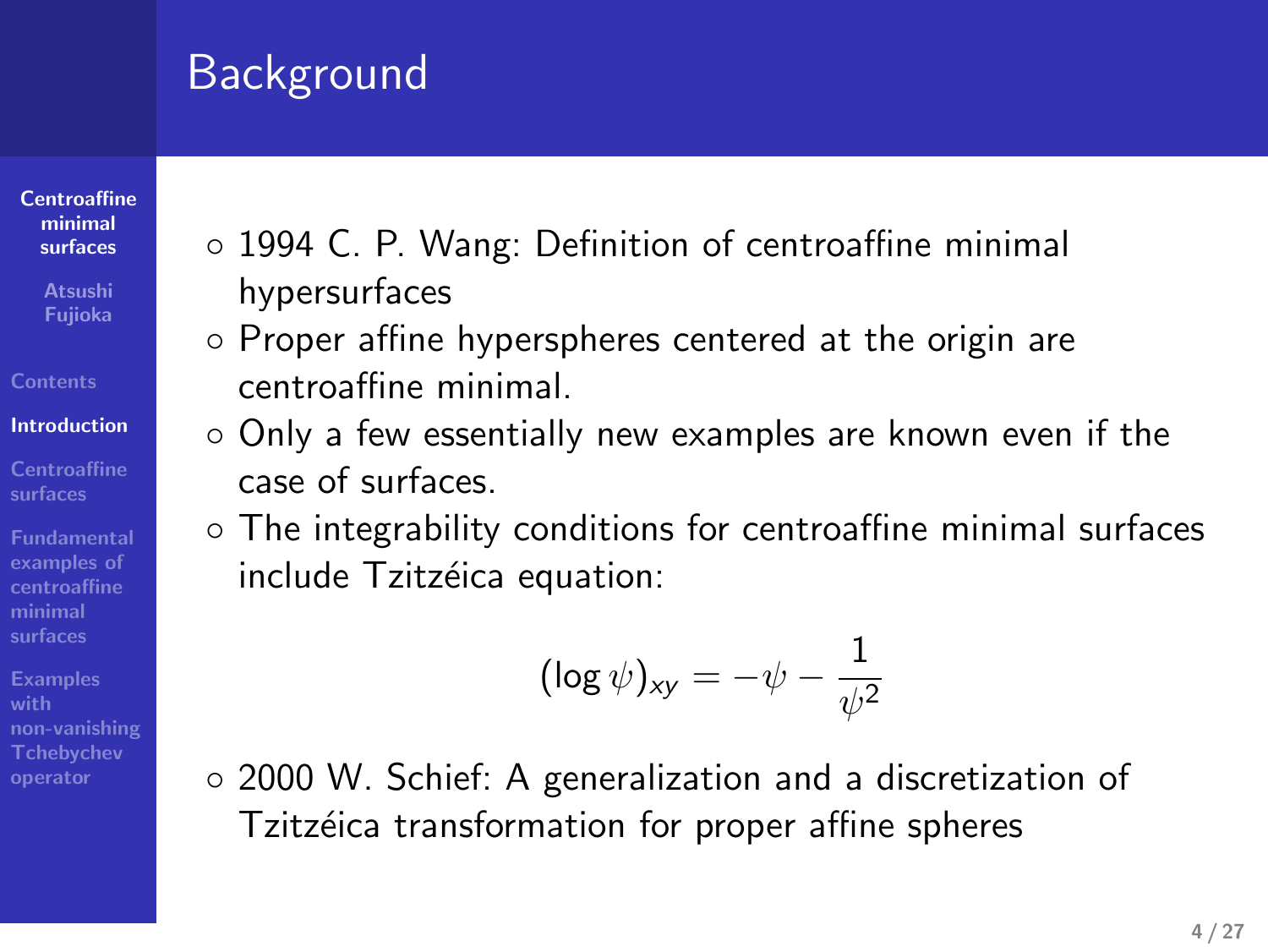# Background

- **Centroaffine minimal surfaces**
- **Atsushi Fujioka**
- 
- **Introduction Centroaffine surfaces**
- **examples of centroaffine minimal surfaces**
- **Examples with**
- **non-vanishing Tchebychev operator**
- *◦* 1994 C. P. Wang: Definition of centroaffine minimal hypersurfaces
- *◦* Proper affine hyperspheres centered at the origin are centroaffine minimal.
- *◦* Only a few essentially new examples are known even if the case of surfaces.
- *◦* The integrability conditions for centroaffine minimal surfaces include Tzitzéica equation:

$$
(\log \psi)_{\mathsf{x}\mathsf{y}} = -\psi - \frac{1}{\psi^2}
$$

*◦* 2000 W. Schief: A generalization and a discretization of Tzitzéica transformation for proper affine spheres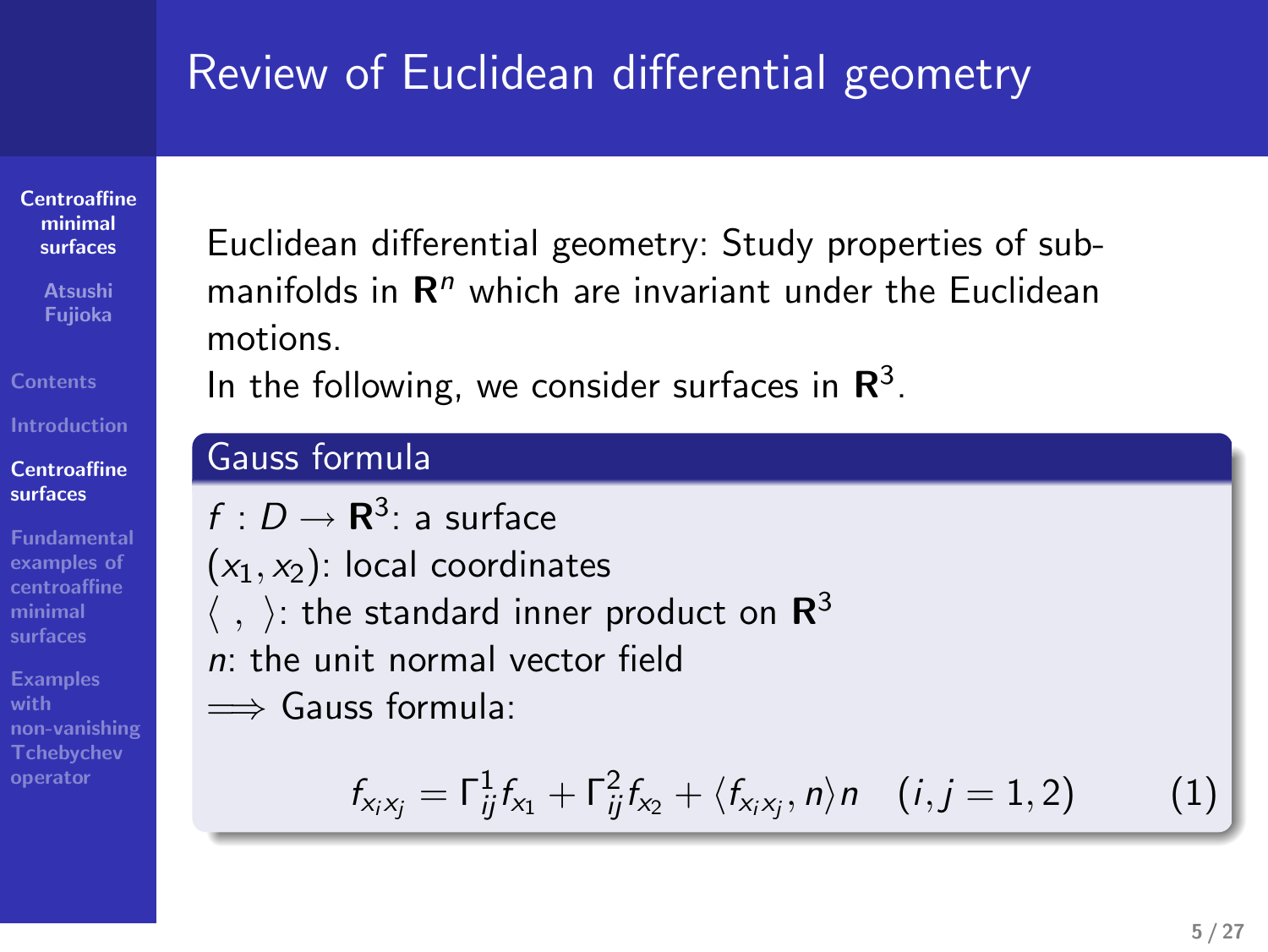# Review of Euclidean differential geometry

**Centroaffine minimal surfaces**

**Centroaffine surfaces**

**examples of centroaffine minimal surfaces**

**Examples with non-vanishing Tchebychev operator**

**Atsushi Fujioka**

Euclidean differential geometry: Study properties of submanifolds in **R***<sup>n</sup>* which are invariant under the Euclidean motions. cometry<br>perties of sub-<br>the Euclidean<br>3. Review of Euclidean differential geometry<br>Buildean differential geometry<br>Buildean differential geometry, Study prosecties of sub-<br>mations.<br>In the following, we consider surfaces in R<sup>1</sup>.<br>Causs ro-mula

In the following, we consider surfaces in **R**

Review of Euclidean differential geometry<br>
backless differential geometry Staty properties of sub-<br>
motivide in R<sup>e</sup> which are invariant and the backless<br>
in the following occurrent and the backless<br>
of the following cons f : D → **R**<sup>3</sup>: a surface<br>
(x<sub>1</sub>, x<sub>2</sub>): local coordinates<br>
(, ): the standard inner product on **R**<sup>3</sup><br>
n: the unit normal vector field<br>
⇒ Gauss formula:<br>  $f_{x_ix_j} = \Gamma_{ij}^1 f_{x_1} + \Gamma_{ij}^2 f_{x_2} + \langle f_{x_ix_j}, n \rangle n$  (i, j = 1, 2)  $f: D \to \mathbf{R}^3$ : a surface  $(x_1, x_2)$ : local coordinates  $\langle$  ,  $\rangle$ : the standard inner product on  $\mathsf{R}^3$ *n*: the unit normal vector field =*⇒* Gauss formula:

$$
f_{x_ix_j} = \Gamma_{ij}^1 f_{x_1} + \Gamma_{ij}^2 f_{x_2} + \langle f_{x_ix_j}, n \rangle n \quad (i, j = 1, 2)
$$
 (1)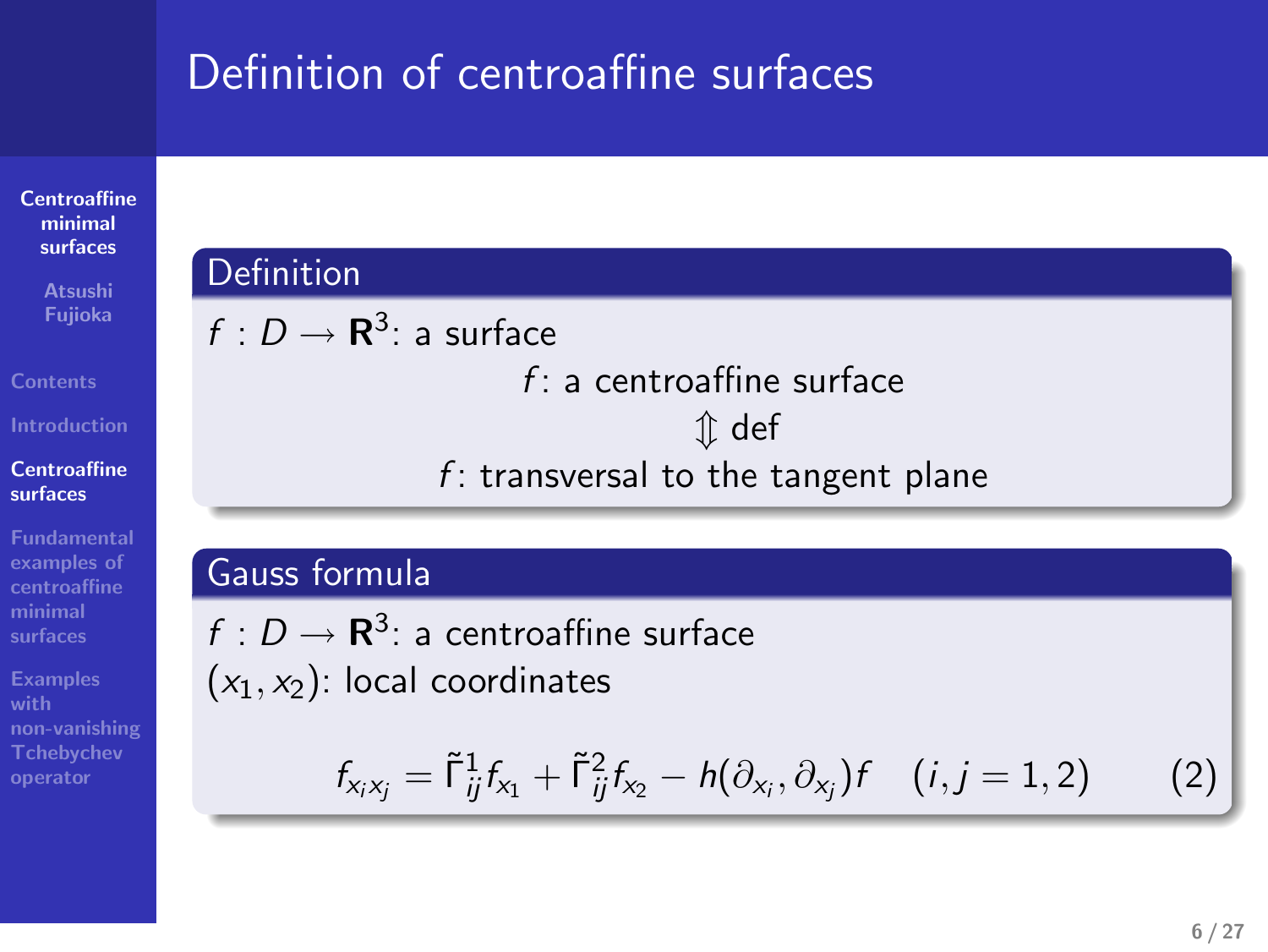# Definition of centroaffine surfaces

**Centroaffine minimal surfaces**

**Atsushi Fujioka**

**Centroaffine surfaces**

**Fundamental examples of centroaffine minimal surfaces**

**Examples with non-vanishing Tchebychev operator**

$$
f: D \to \mathbf{R}^3
$$
: a surface  

$$
f:
$$

**Definition** 

*m* def

*f* : transversal to the tangent plane

*f* : a centroaffine surface

#### Gauss formula

 $f:D\to{\bf R}^3$ : a centroaffine surface (*x*1*, x*2): local coordinates

$$
f_{x_i x_j} = \tilde{\mathsf{f}}_{ij}^1 f_{x_1} + \tilde{\mathsf{f}}_{ij}^2 f_{x_2} - h(\partial_{x_i}, \partial_{x_j}) f \quad (i, j = 1, 2) \tag{2}
$$

.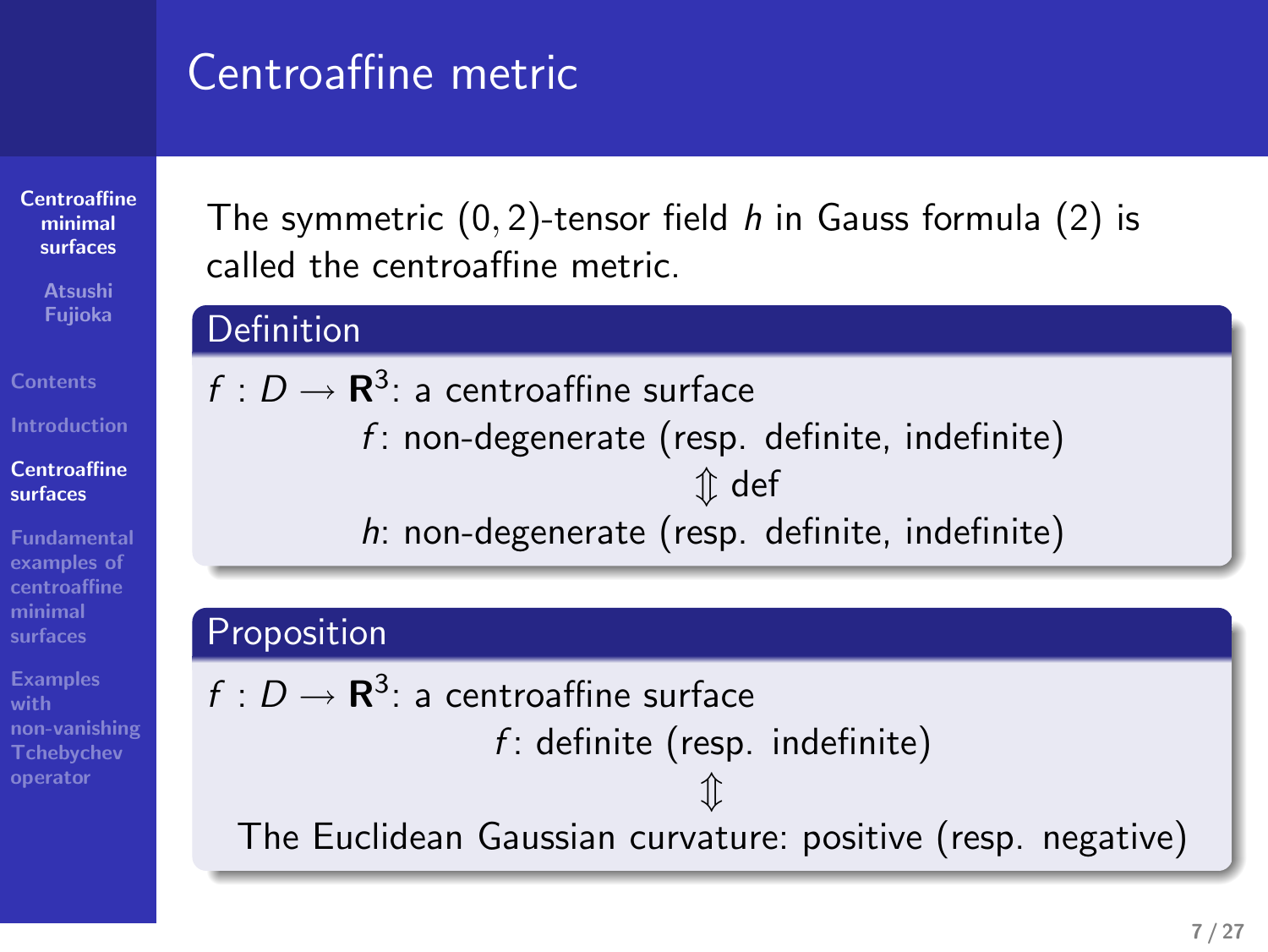# Centroaffine metric

**Centroaffine minimal surfaces**

**Atsushi Fujioka**

**Centroaffine surfaces**

**Fundamental examples of centroaffine minimal surfaces**

**Examples with non-vanishing Tchebychev operator** The symmetric (0*,* 2)-tensor field *h* in Gauss formula (2) is called the centroaffine metric.

#### Definition

 $f: D \to \mathbf{R}^3$ : a centroaffine surface *f* : non-degenerate (resp. definite, indefinite) *m* def *h*: non-degenerate (resp. definite, indefinite)

#### Proposition

 $f:D\to{\bf R}^3$ : a centroaffine surface *f* : definite (resp. indefinite) *m* The Euclidean Gaussian curvature: positive (resp. negative)

.. .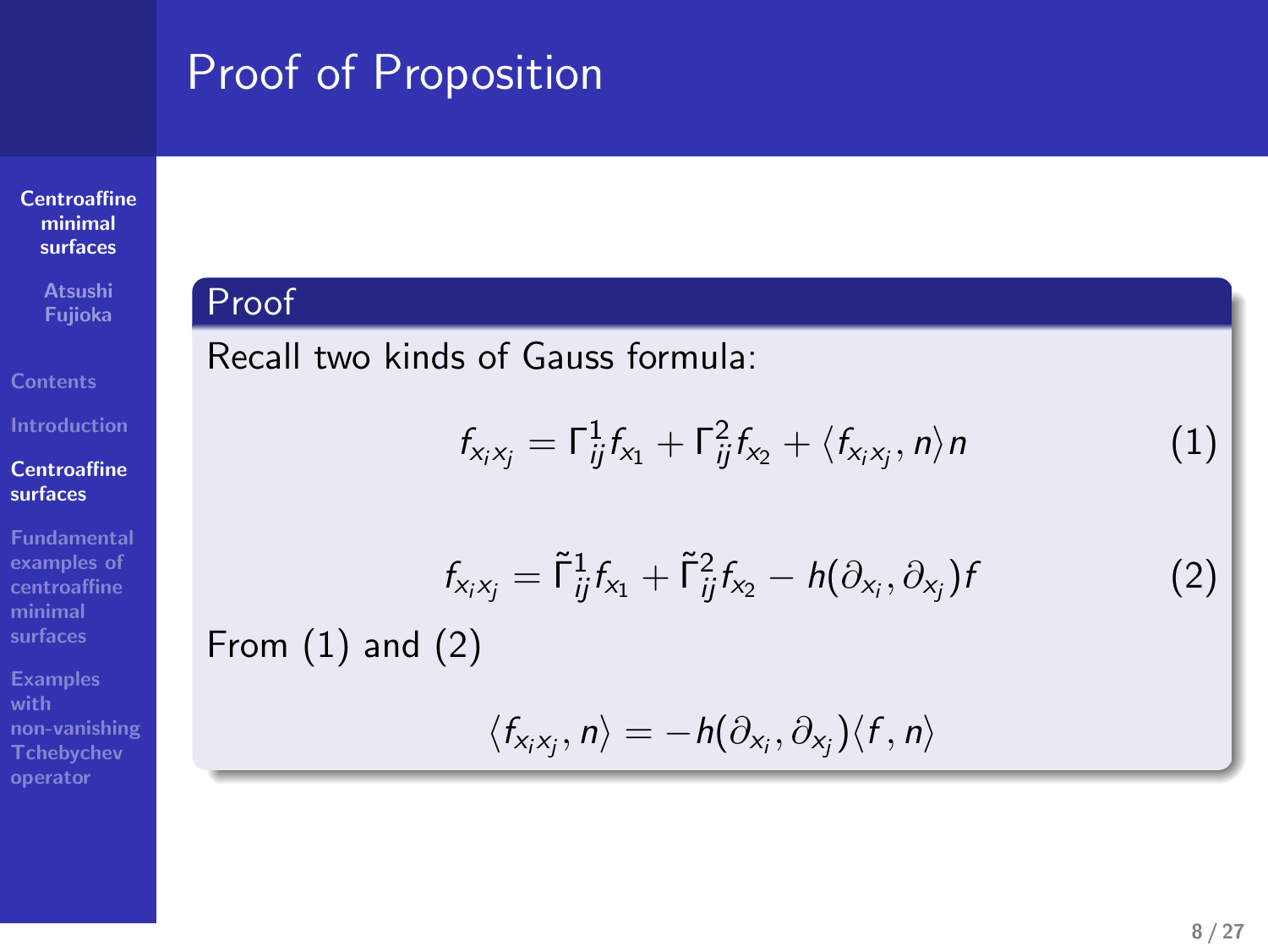# Proof of Proposition

Recall two kinds of Gauss formula:

# **Centroaffine minimal surfaces**

**Atsushi Fujioka**

Proof

From (1) and (2)

**Centroaffine surfaces**

**Fundamental examples of centroaffine minimal surfaces**

**Examples with non-vanishing Tchebychev operator**

 $\langle f_{x_i x_j}, n \rangle = -h(\partial_{x_i}, \partial_{x_j}) \langle f, n \rangle$ 

 $f_{x_i x_j} = \tilde{\Gamma}_{ij}^1 f_{x_1} + \tilde{\Gamma}_{ij}^2 f_{x_2} - h(\partial_{x_i}, \partial_{x_j})$ 

 $f_{x_i x_j} = \Gamma_{ij}^1 f_{x_1} + \Gamma_{ij}^2 f_{x_2} + \langle f_{x_i x_j}, n \rangle n$  (1)

)*f* (2)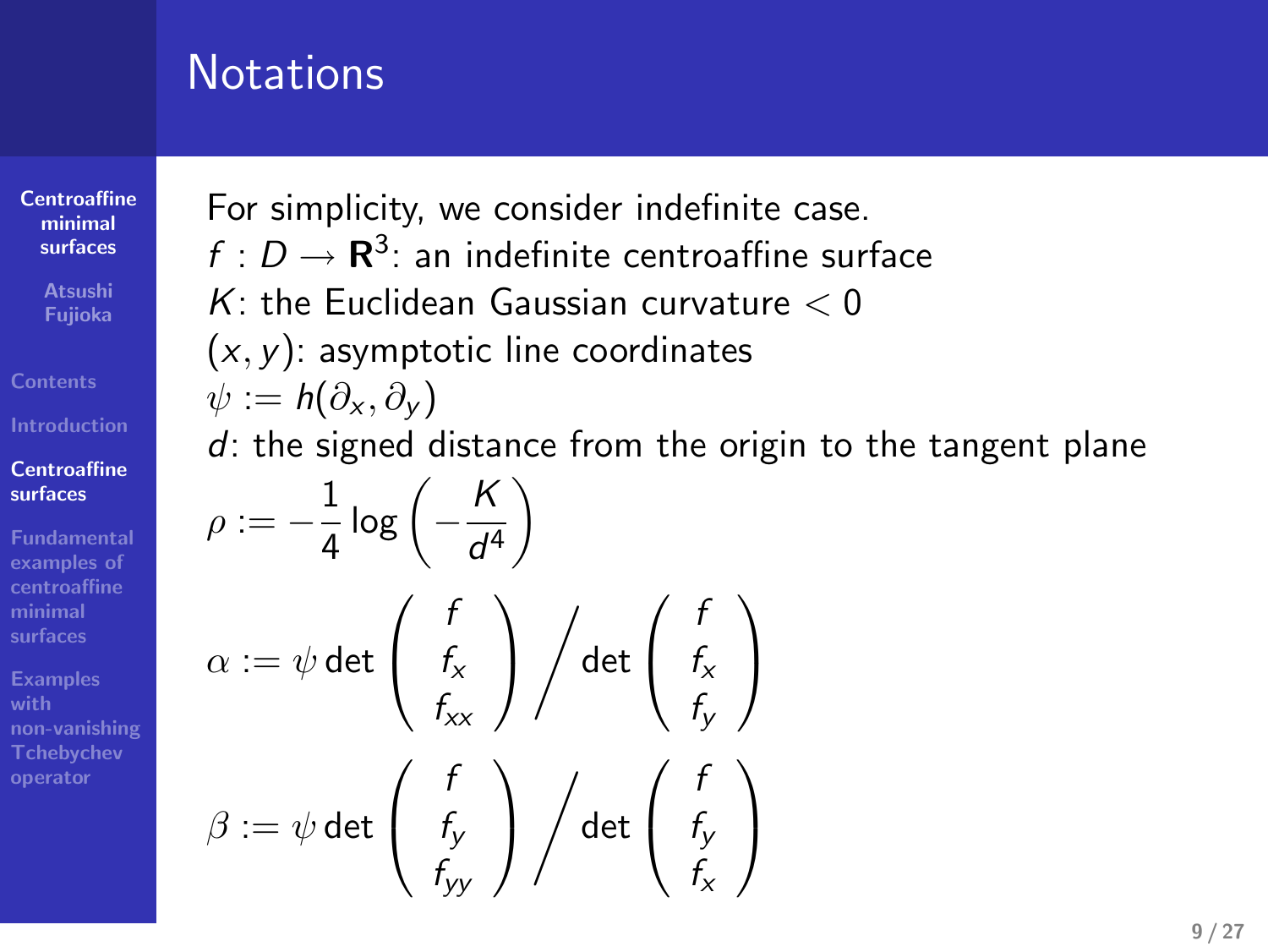# **Notations**

**Centroaffine minimal surfaces**

**Atsushi Fujioka**

**Centroaffine surfaces Fundamental examples of centroaffine minimal surfaces**

**Examples with non-vanishing Tchebychev operator**

For simplicity, we consider indefinite case.

 $f: D \to \mathbf{R}^3$ : an indefinite centroaffine surface

*K*: the Euclidean Gaussian curvature *<* 0

(*x, y*): asymptotic line coordinates

$$
\psi:=\mathsf{h}(\partial_{\mathsf{x}},\partial_{\mathsf{y}})
$$

*d*: the signed distance from the origin to the tangent plane

$$
\rho := -\frac{1}{4} \log \left( -\frac{K}{d^4} \right)
$$
\n
$$
\alpha := \psi \det \left( \begin{array}{c} f \\ f_{\mathsf{x}} \\ f_{\mathsf{x}\mathsf{x}} \end{array} \right) \Big/ \det \left( \begin{array}{c} f \\ f_{\mathsf{x}} \\ f_{\mathsf{y}} \end{array} \right)
$$
\n
$$
\beta := \psi \det \left( \begin{array}{c} f \\ f_{\mathsf{y}} \\ f_{\mathsf{y}\mathsf{y}} \end{array} \right) \Big/ \det \left( \begin{array}{c} f \\ f_{\mathsf{y}} \\ f_{\mathsf{x}} \end{array} \right)
$$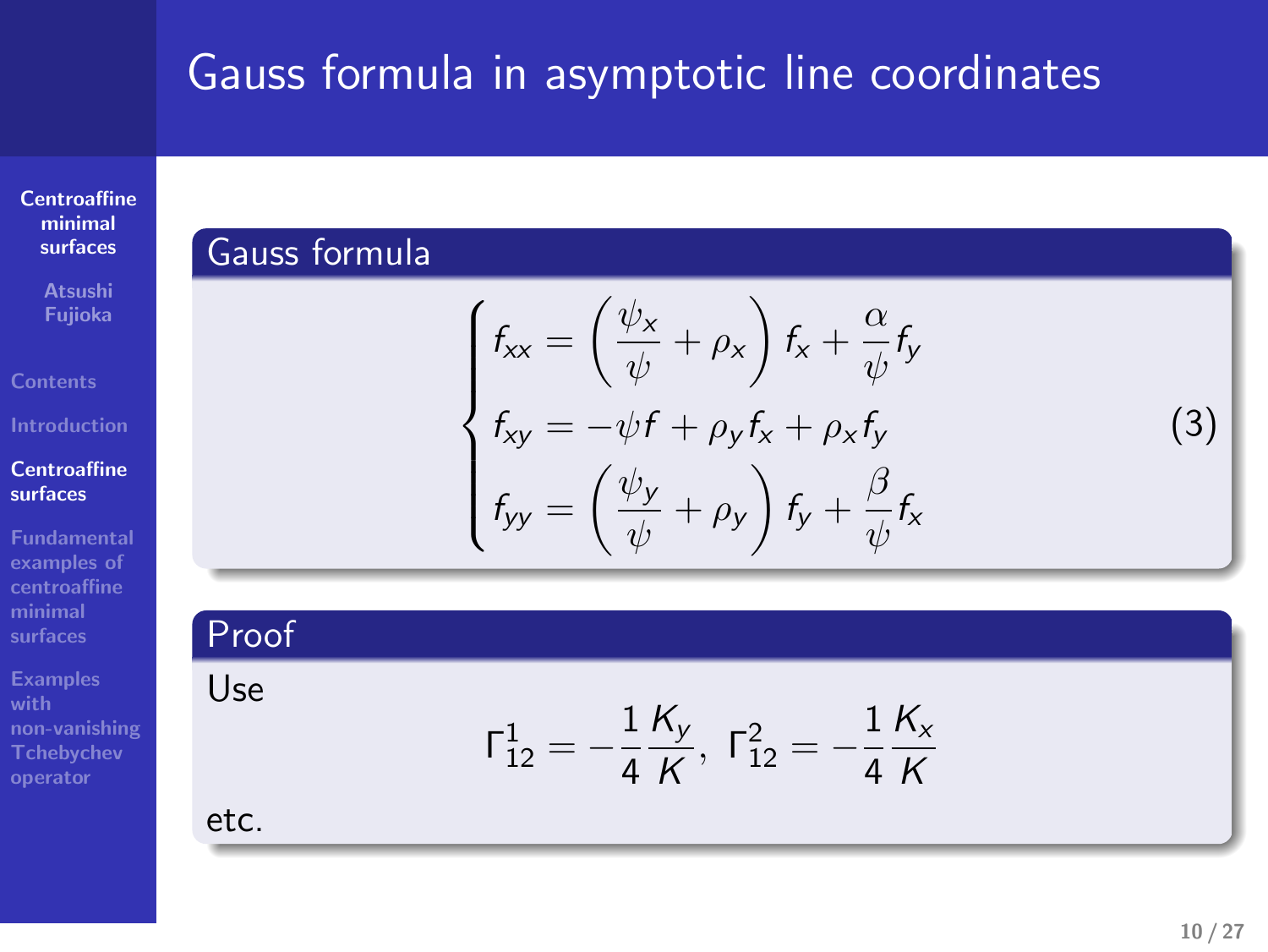# Gauss formula in asymptotic line coordinates . Sauss formula in asymptotic line coordinates<br>Gauss formula<br>Gauss formula Gauss formula in asymptotic line coordinates<br>Cause formula<br> $\frac{1}{2}$ <br> $\frac{1}{2}$ Sauss formula in asymptotic line coordinates<br>
Cours termula<br>  $\begin{cases} \epsilon_0 = \left(\frac{\psi_0}{\psi} + \rho_0\right) \delta + \frac{\rho}{\psi} \epsilon_0 \\ \epsilon_0 = \left(\frac{\psi_0}{\psi} + \rho_0\right) \delta + \frac{\rho}{\psi} \epsilon_0 \\ \epsilon_0 = \left(\frac{\psi_0}{\psi} + \rho_0\right) \delta + \frac{\mu}{\psi} \epsilon_0 \end{cases}$ Gauss formula in asymptotic line coordinates<br>  $\begin{cases}\n\frac{G_{\text{FUV}}}{\sqrt{G_{\text{FUV}}}}\sin \theta_{\text{FUV}} & \text{if } G_{\text{FUV}} = \frac{1}{2} \sqrt{\frac{1}{2}} \cos \theta_{\text{FUV}} & \text{if } G_{\text{FUV}} = \frac{1}{2} \sqrt{\frac{1}{2}} \cos \theta_{\text{FUV}} & \text{if } G_{\text{FUV}} = \frac{1}{2} \sqrt{\frac{1}{2}} \cos \theta_{\text{FUV}} & \text{if } G$

 $\begin{cases} f_{xx} = \left(\frac{\psi_x}{\psi} + \rho_x\right) f_x + \frac{\alpha}{\psi} f_y \\ f_{xy} = -\psi f + \rho_y f_x + \rho_x f_y \\ f_{yy} = \left(\frac{\psi_y}{\psi} + \rho_y\right) f_y + \frac{\beta}{\psi} f_x \end{cases}$ <br>Proof

*K*<sub>y</sub>, Γ<sub>12</sub></sub> =  $-\frac{1}{4}$ *K*<sub>x</sub><br>*K* 

*K*

 $\Gamma^1_{12}=-\frac{1}{4}\frac{K_y}{K}$ 

# **Centroaffine minimal surfaces**

**Atsushi Fujioka**

**Introduction**

**Centroaffine surfaces**

**Fundamental examples of centroaffine minimal surfaces**

**Examples with non-vanishing Tchebychev operator**

etc.

Use

(3) .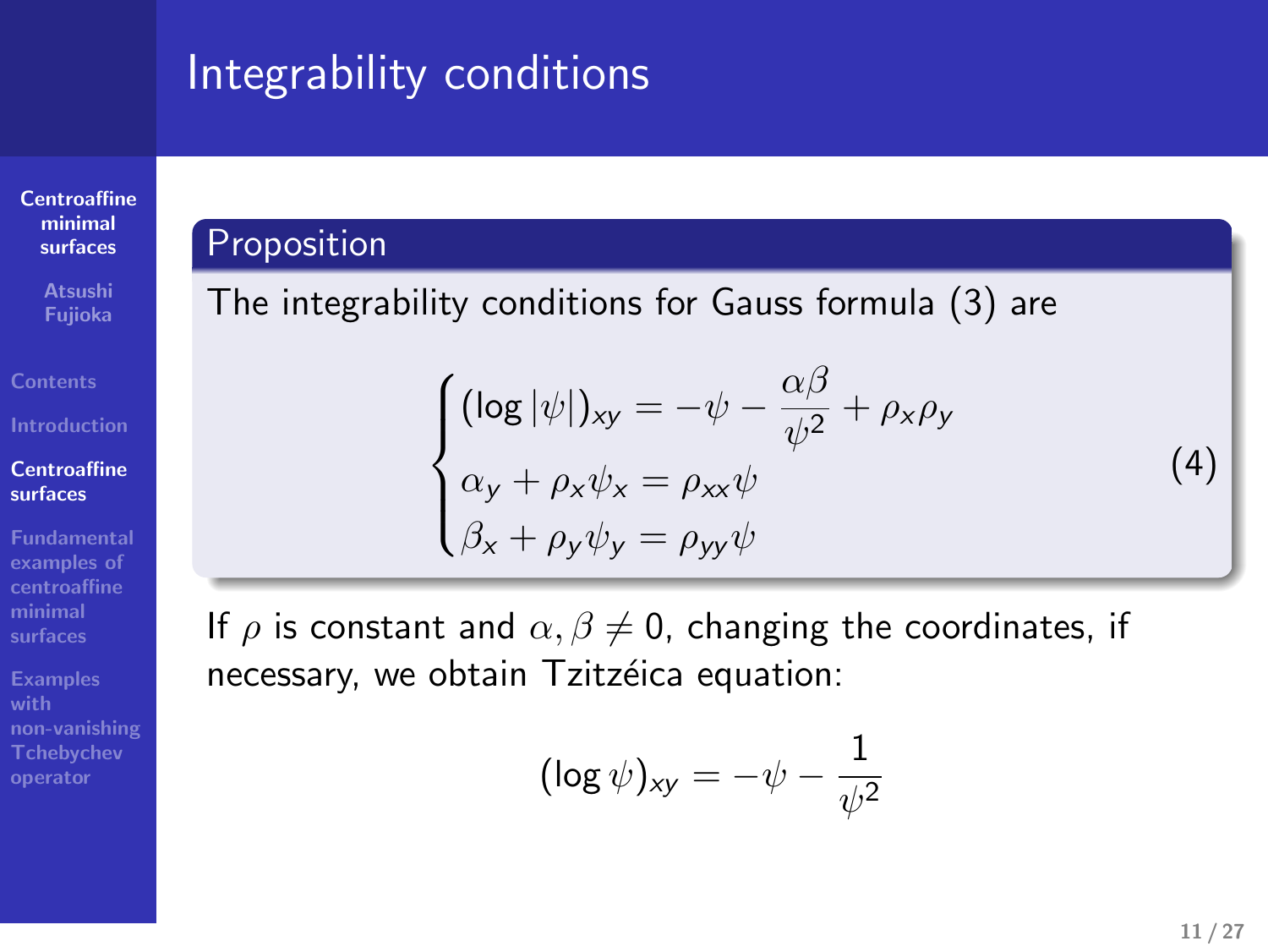# Integrability conditions

# **Centroaffine minimal surfaces**

**Atsushi Fujioka**

**Centroaffine surfaces**

**Fundamental examples of centroaffine minimal surfaces**

**Examples with non-vanishing Tchebychev operator**

# **Proposition**

The integrability conditions for Gauss formula (3) are

$$
\begin{cases}\n(\log |\psi|)_{xy} = -\psi - \frac{\alpha \beta}{\psi^2} + \rho_x \rho_y \\
\alpha_y + \rho_x \psi_x = \rho_{xx} \psi \\
\beta_x + \rho_y \psi_y = \rho_{yy} \psi\n\end{cases}
$$
\n(4)

If  $\rho$  is constant and  $\alpha, \beta \neq 0$ , changing the coordinates, if necessary, we obtain Tzitzéica equation:

.. .

$$
(\log \psi)_{\mathsf{x}\mathsf{y}} = -\psi - \frac{1}{\psi^2}
$$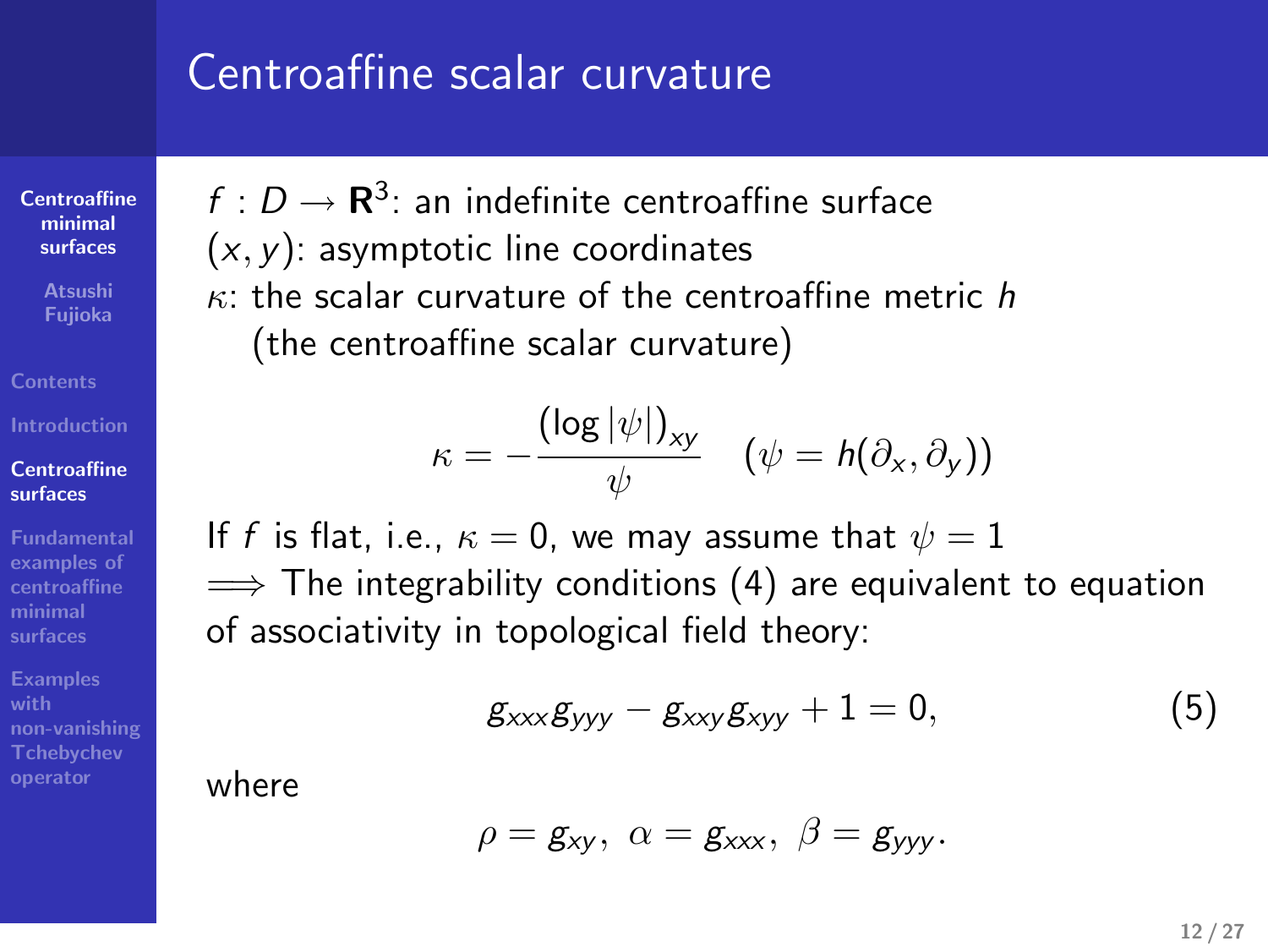### Centroaffine scalar curvature

 $f: D \to \mathbf{R}^3$ : an indefinite centroaffine surface

(*x, y*): asymptotic line coordinates

*κ*: the scalar curvature of the centroaffine metric *h* (the centroaffine scalar curvature)

$$
\kappa = -\frac{(\log |\psi|)_{xy}}{\psi} \quad (\psi = h(\partial_x, \partial_y))
$$

If *f* is flat, i.e.,  $\kappa = 0$ , we may assume that  $\psi = 1$ =*⇒* The integrability conditions (4) are equivalent to equation of associativity in topological field theory:

$$
g_{xxx}g_{yyy}-g_{xxy}g_{xyy}+1=0,
$$
 (5)

where

**Centroaffine minimal surfaces**

**Atsushi Fujioka**

**Centroaffine surfaces**

**examples of centroaffine minimal surfaces**

**Examples with non-vanishing Tchebychev operator**

$$
\rho = g_{xy}, \ \alpha = g_{xxx}, \ \beta = g_{yyy}.
$$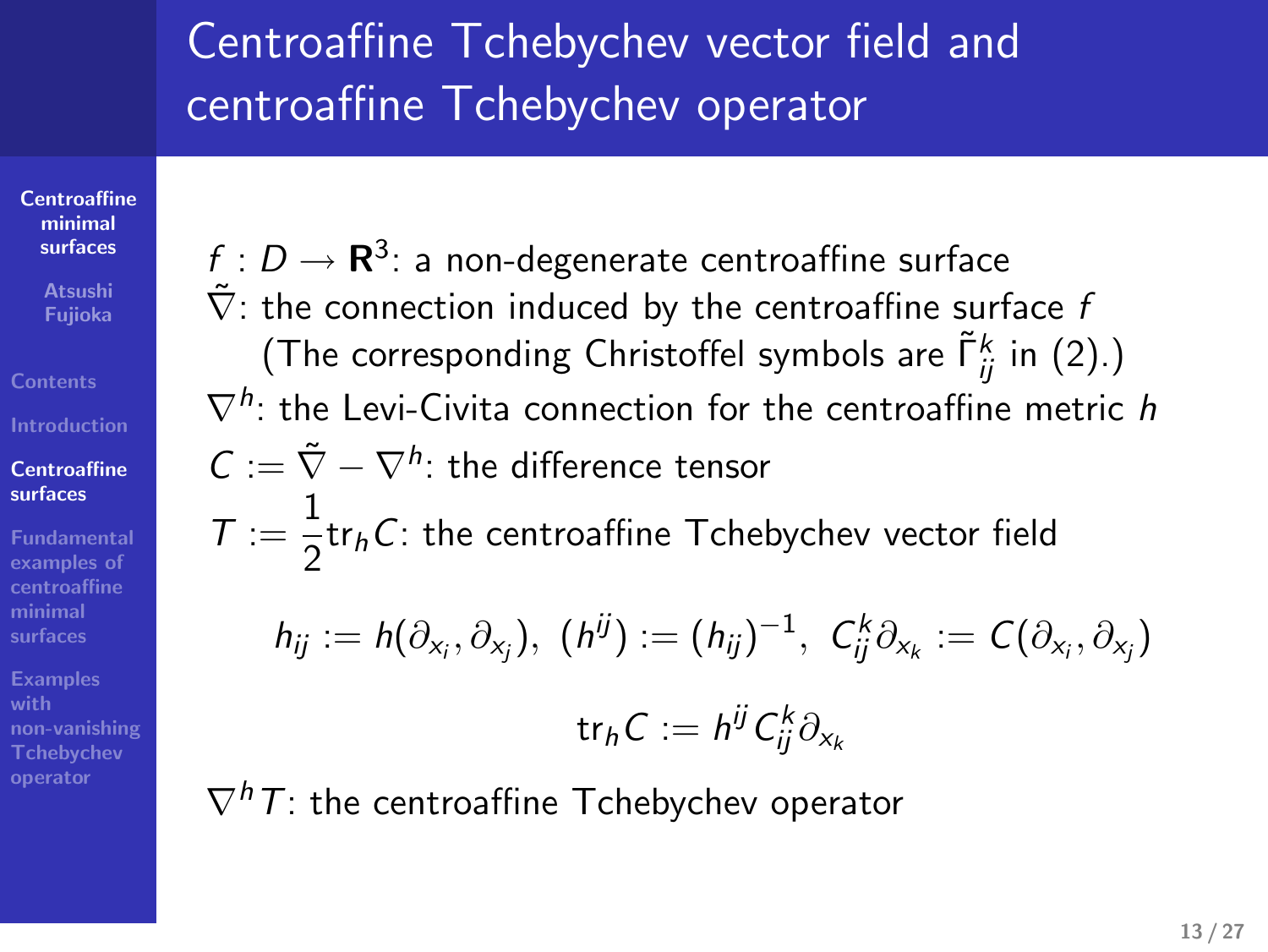# Centroaffine Tchebychev vector field and centroaffine Tchebychev operator

**Centroaffine minimal surfaces Atsushi Fujioka**

**Contents**

**Centroaffine surfaces Fundamental examples of centroaffine minimal surfaces**

**Examples with non-vanishing Tchebychev operator**  $f:D\to{\bf R}^3$ : a non-degenerate centroaffine surface  $\tilde{\nabla}$ : the connection induced by the centroaffine surface *f* (The corresponding Christoffel symbols are Γ˜*<sup>k</sup> ij* in (2).) *∇<sup>h</sup>* : the Levi-Civita connection for the centroaffine metric *h*  $C := \tilde{\nabla} - \nabla^h$ : the difference tensor  $T := \frac{1}{2}$  $\frac{1}{2}$ tr<sub>h</sub>*C*: the centroaffine Tchebychev vector field

$$
h_{ij} := h(\partial_{x_i}, \partial_{x_j}), \ (h^{ij}) := (h_{ij})^{-1}, \ C_{ij}^k \partial_{x_k} := C(\partial_{x_i}, \partial_{x_j})
$$

$$
\text{tr}_h C := h^{ij} C_{ij}^k \partial_{x_k}
$$

*∇hT*: the centroaffine Tchebychev operator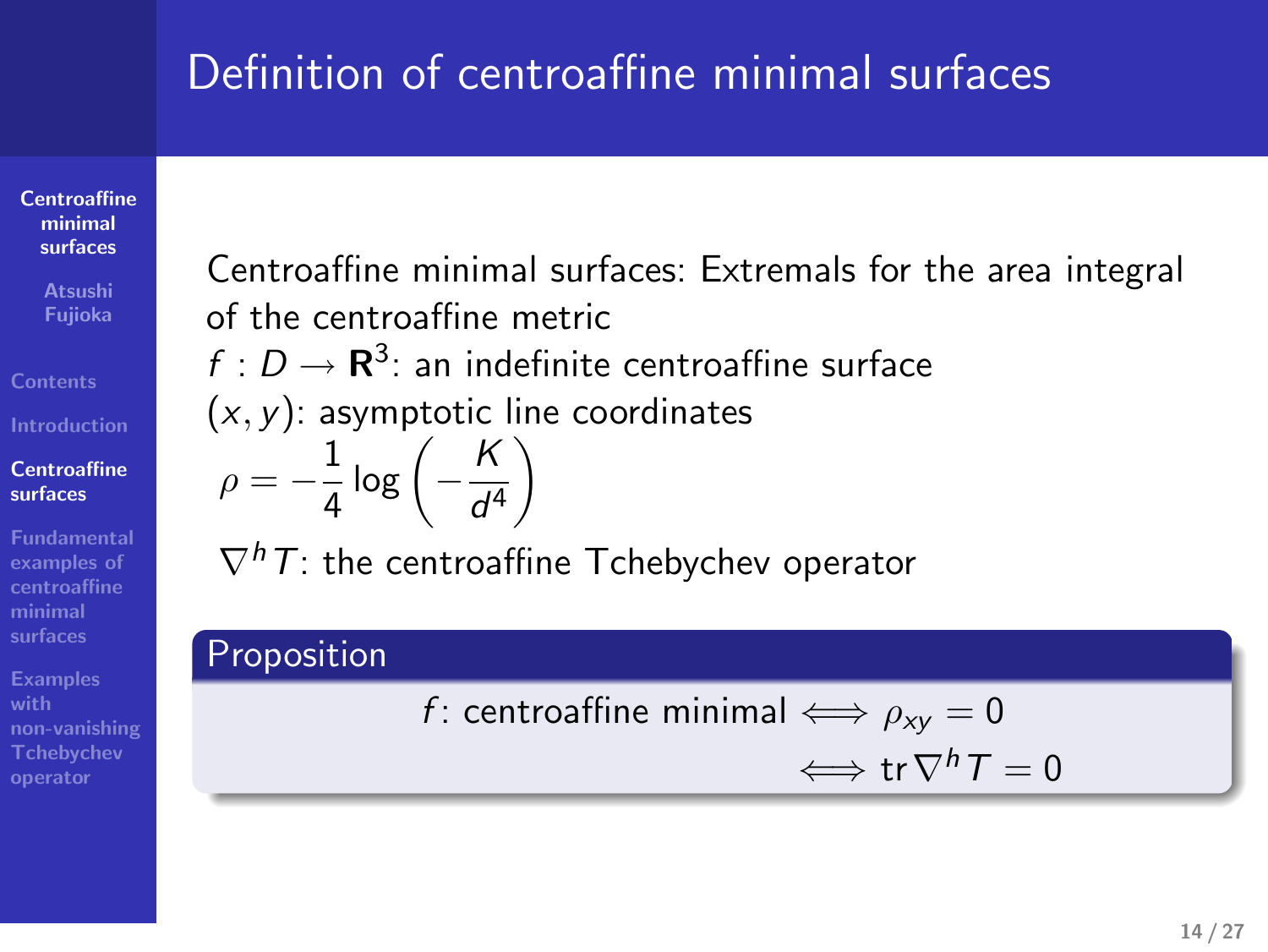# Definition of centroaffine minimal surfaces

**Centroaffine minimal surfaces**

**Atsushi Fujioka**

**Centroaffine surfaces**

**Fundamental examples of centroaffine minimal surfaces**

**Examples with non-vanishing Tchebychev operator** Centroaffine minimal surfaces: Extremals for the area integral of the centroaffine metric

 $f: D \to \mathbf{R}^3$ : an indefinite centroaffine surface

(*x, y*): asymptotic line coordinates

$$
\rho = -\frac{1}{4} \log \left( -\frac{K}{d^4} \right)
$$

*∇hT*: the centroaffine Tchebychev operator

#### Proposition

*f* : centroaffine minimal  $\iff \rho_{xy} = 0$ 

*⇐⇒* tr*∇hT* = 0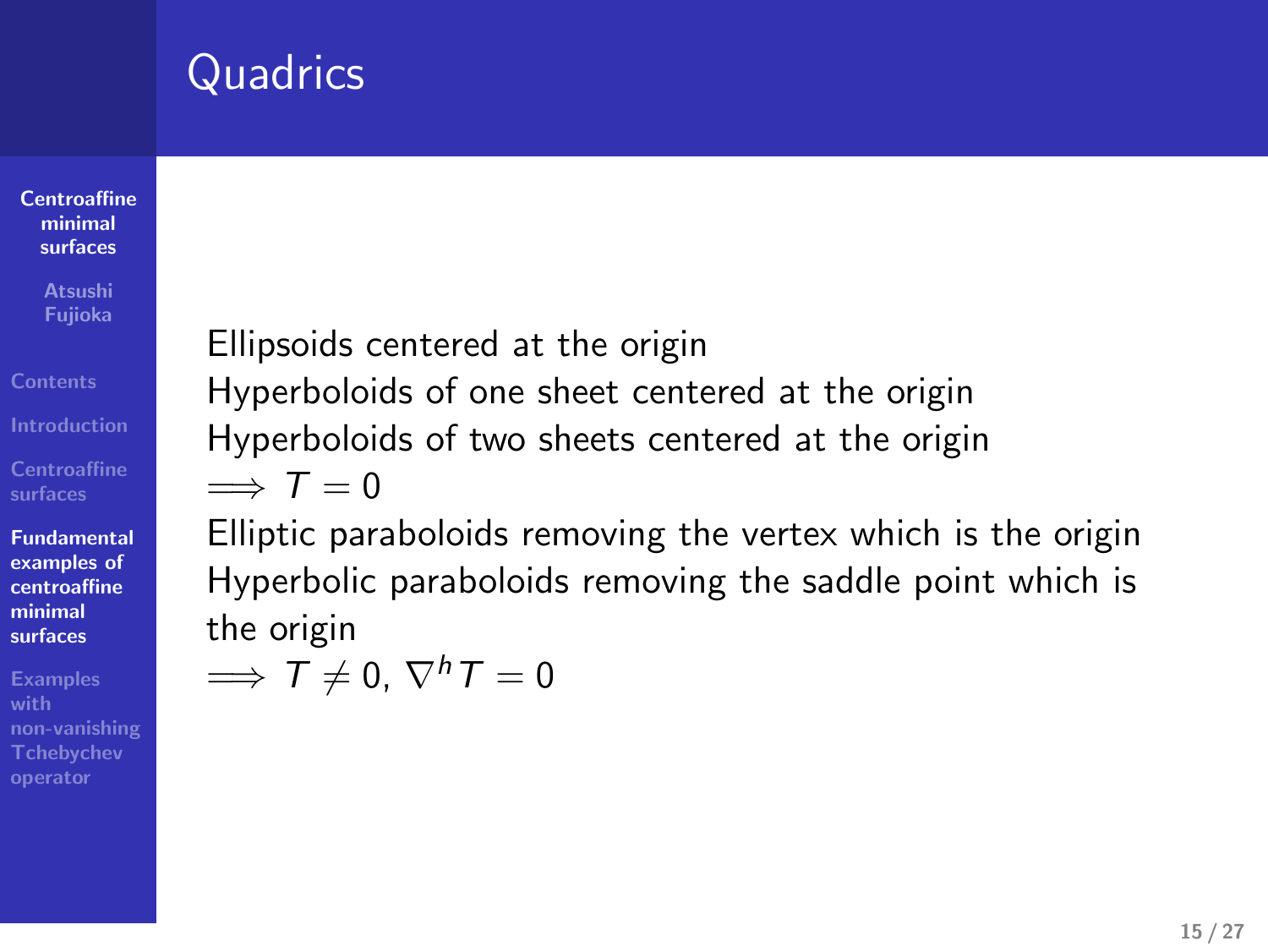# **Quadrics**

**Centroaffine minimal surfaces**

**Atsushi Fujioka**

**Centroaffine surfaces**

**Fundamental examples of centroaffine minimal surfaces**

**Examples with non-vanishing Tchebychev operator**

#### Ellipsoids centered at the origin Hyperboloids of one sheet centered at the origin Hyperboloids of two sheets centered at the origin

=*⇒ T* = 0 Elliptic paraboloids removing the vertex which is the origin

Hyperbolic paraboloids removing the saddle point which is the origin  $\implies$   $\overline{T} \neq 0$ ,  $\nabla^h T = 0$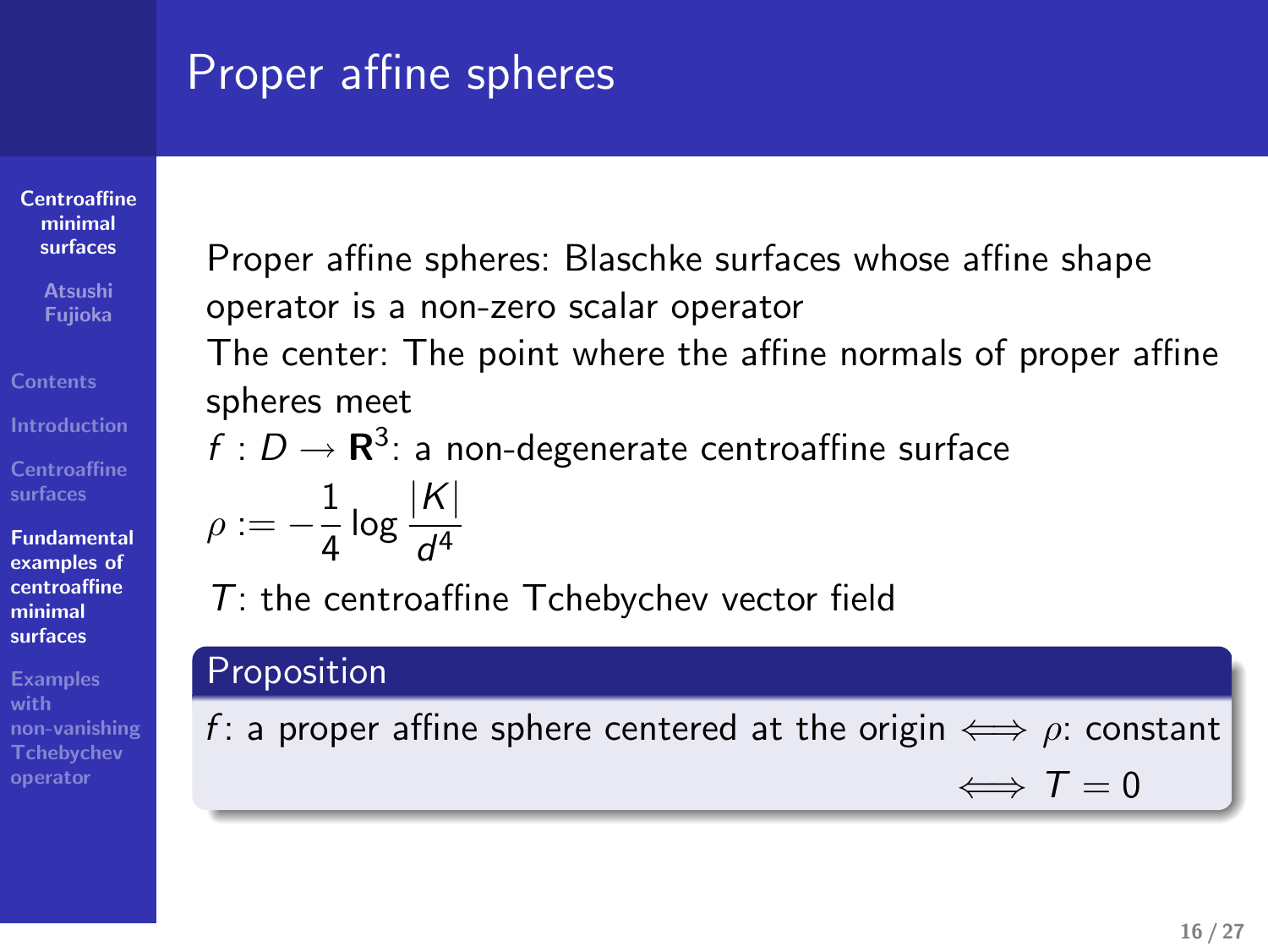# Proper affine spheres

**Centroaffine minimal surfaces**

**Atsushi Fujioka**

**Centroaffine surfaces Fundamental examples of centroaffine minimal**

**surfaces Examples with**

**non-vanishing Tchebychev operator**

Proper affine spheres: Blaschke surfaces whose affine shape operator is a non-zero scalar operator

The center: The point where the affine normals of proper affine spheres meet

 $f:D\to{\bf R}^3$ : a non-degenerate centroaffine surface

$$
\rho:=-\frac{1}{4}\log\frac{|{\mathcal K}|}{d^4}
$$

*T*: the centroaffine Tchebychev vector field

#### Proposition

*f* : a proper affine sphere centered at the origin  $\iff$   $\rho$ : constant

 $\Longleftrightarrow$  *T* = 0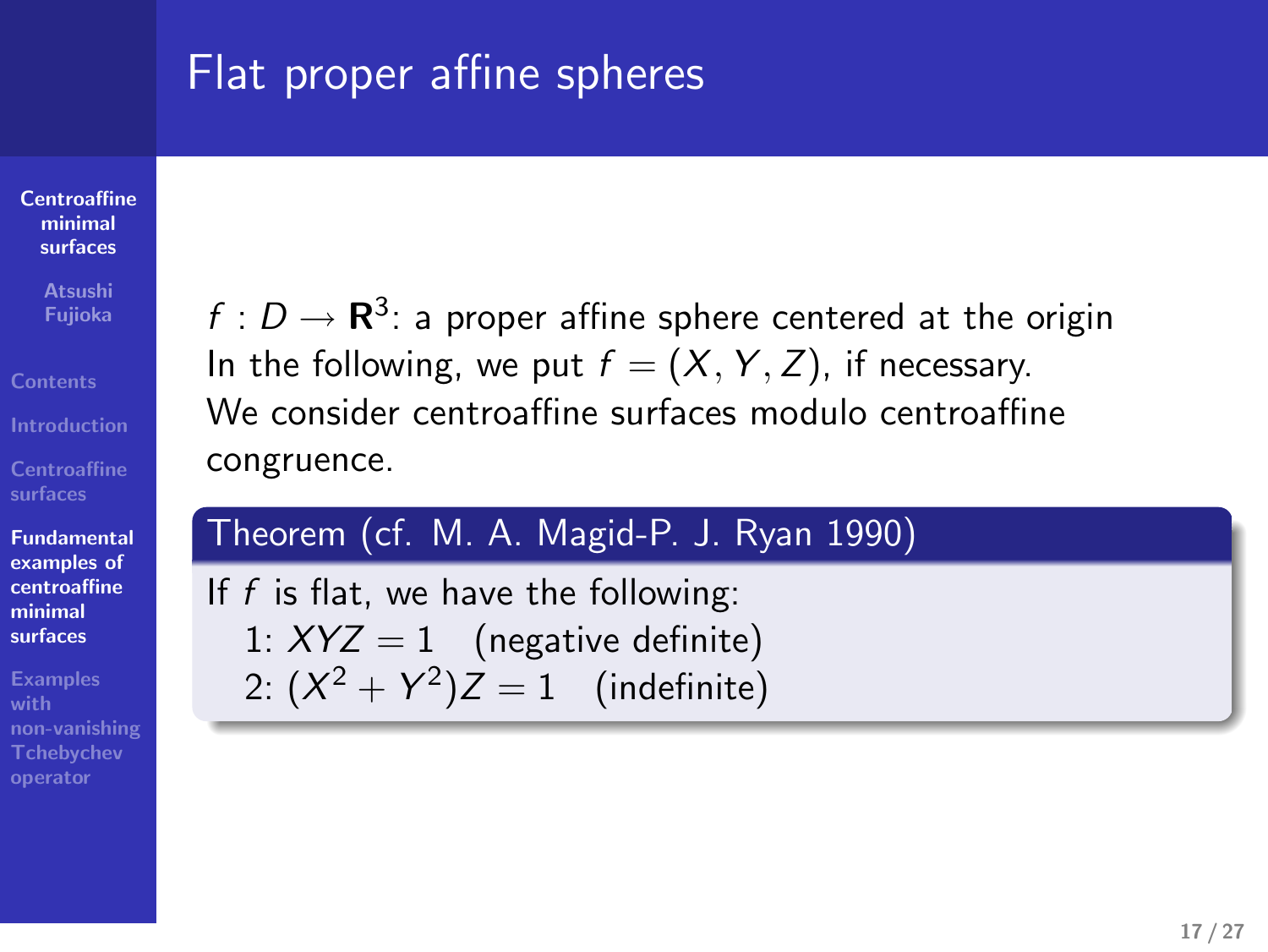# Flat proper affine spheres

**Centroaffine minimal surfaces**

**Atsushi Fujioka**

**Centroaffine surfaces**

**Fundamental examples of centroaffine minimal surfaces**

**Examples with non-vanishing Tchebychev operator**

 $f: D \to \mathbf{R}^3$ : a proper affine sphere centered at the origin In the following, we put  $f = (X, Y, Z)$ , if necessary. We consider centroaffine surfaces modulo centroaffine congruence.

| Theorem (cf. M. A. Magid-P. J. Ryan 1990), |
|--------------------------------------------|
| If $f$ is flat, we have the following:     |
| 1: $XYZ = 1$ (negative definite)           |
| 2: $(X^2 + Y^2)Z = 1$ (indefinite)         |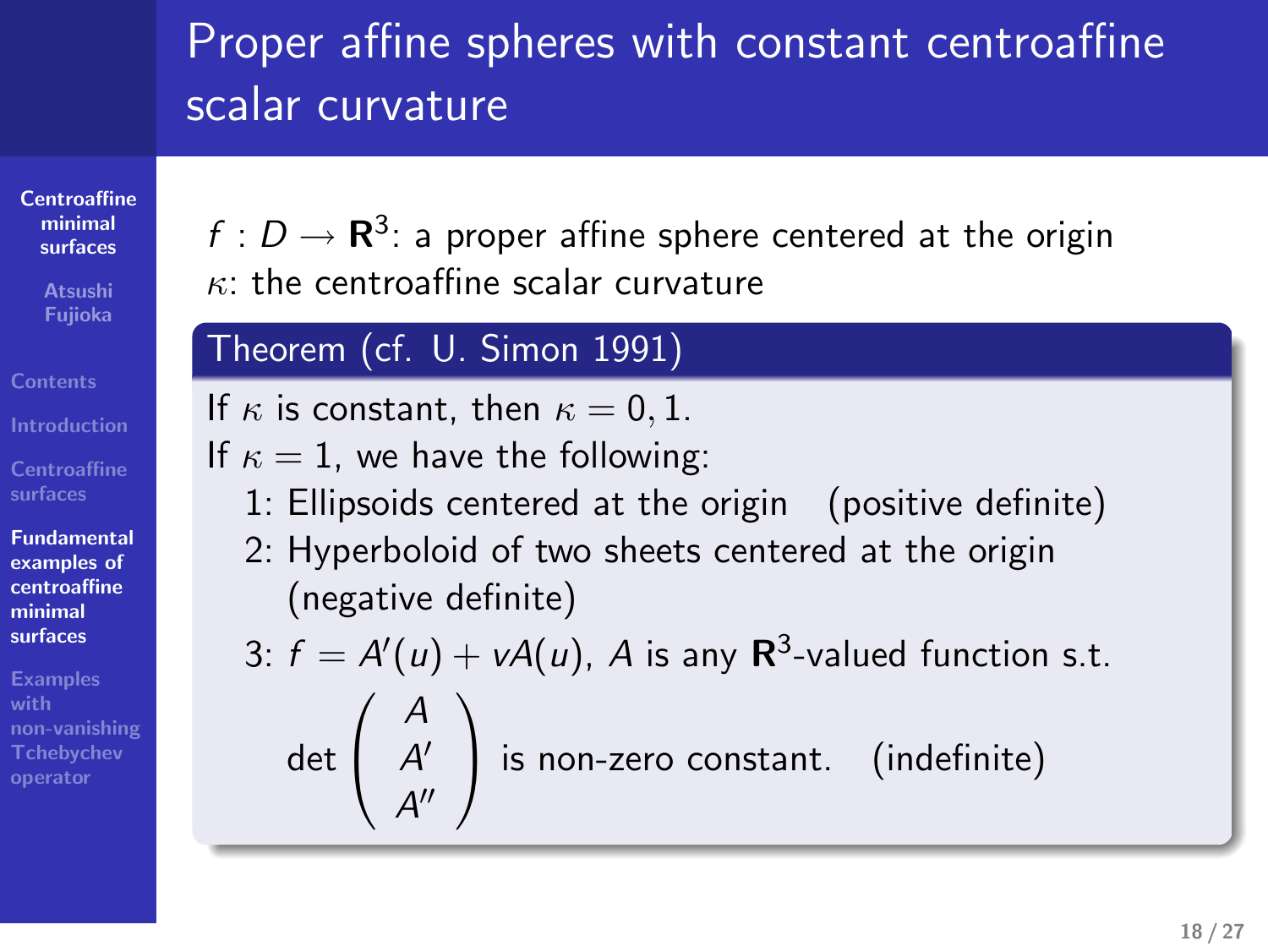# Proper affine spheres with constant centroaffine scalar curvature *Proper affine spheres with constant centroaffine calar curvature<br>calar curvature ...<br>* $\theta = \mathbf{R}^2$  *, a mone affine sphere, censored at the origin<br>* $\theta$ *, the curvature scalar curvature* Proper affine spheres with constant centroaffine<br>Calar curvature<br> $f: D \to \mathbb{R}^3$ : a proper affine sphere centered at the origin<br>theorem (cf. U. Simon 1991). . .

**Centroaffine minimal surfaces**

**Atsushi Fujioka**

**Centroaffine surfaces Fundamental examples of centroaffine minimal**

**surfaces with non-vanishing Tchebychev operator** If  $\kappa$  is constant, then  $\kappa = 0, 1$ .

 $f:D\to{\bf R}^3$ : a proper affine sphere centered at the origin

If  $\kappa = 1$ , we have the following:

- 1: Ellipsoids centered at the origin (positive definite)
- 2: Hyperboloid of two sheets centered at the origin (negative definite)

3: 
$$
f = A'(u) + vA(u)
$$
, A is any  $\mathbb{R}^3$ -valued function s.t.  
det  $\begin{pmatrix} A \\ A' \\ A'' \end{pmatrix}$  is non-zero constant. (indefinite)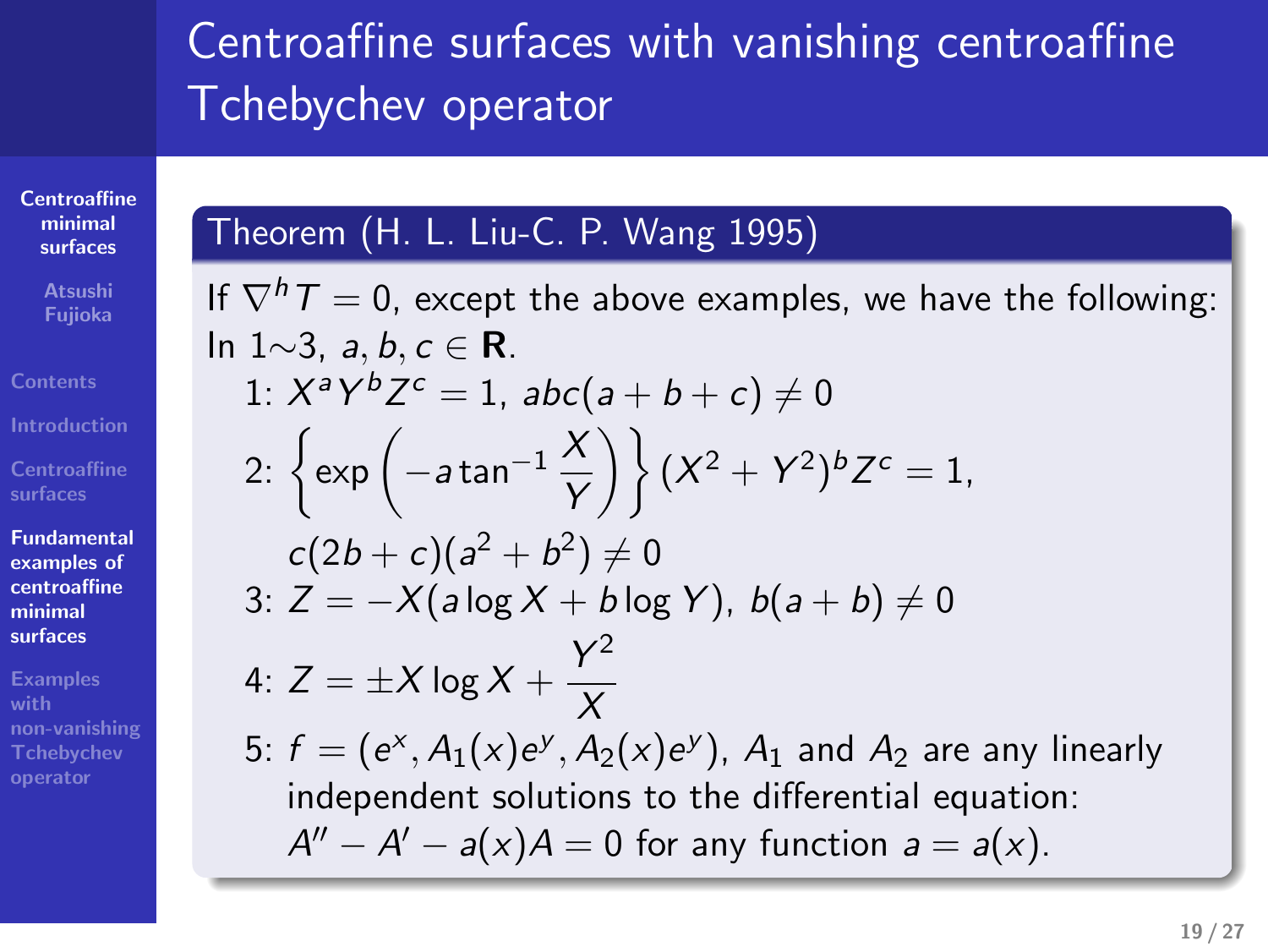# Centroaffine surfaces with vanishing centroaffine Tchebychev operator

#### Theorem (H. L. Liu-C. P. Wang 1995)

**Centroaffine minimal surfaces Atsushi Fujioka**

**Contents Introduction** 

**surfaces Fundamental examples of centroaffine minimal surfaces Examples**

**non-vanishing Tchebychev operator**

If *∇hT* = 0, except the above examples, we have the following: In 1*∼*3, *a, b, c ∈* **R**. 1:  $X^a Y^b Z^c = 1$ ,  $abc(a + b + c) \neq 0$ 2:  $\left\{ \exp \left( -a \tan^{-1} \frac{X}{Y} \right) \right\} (X^2 + Y^2)^b Z^c = 1$  $c(2b + c)(a^2 + b^2) \neq 0$ 3:  $\overline{Z} = -X(a \log X + b \log Y), b(a + b) \neq 0$ 4:  $Z = \pm X \log X + \frac{Y^2}{Y}$ *X* 5:  $f = (e^x, A_1(x)e^y, A_2(x)e^y)$ ,  $A_1$  and  $A_2$  are any linearly independent solutions to the differential equation:  $A'' - A' - a(x)A = 0$  for any function  $a = a(x)$ .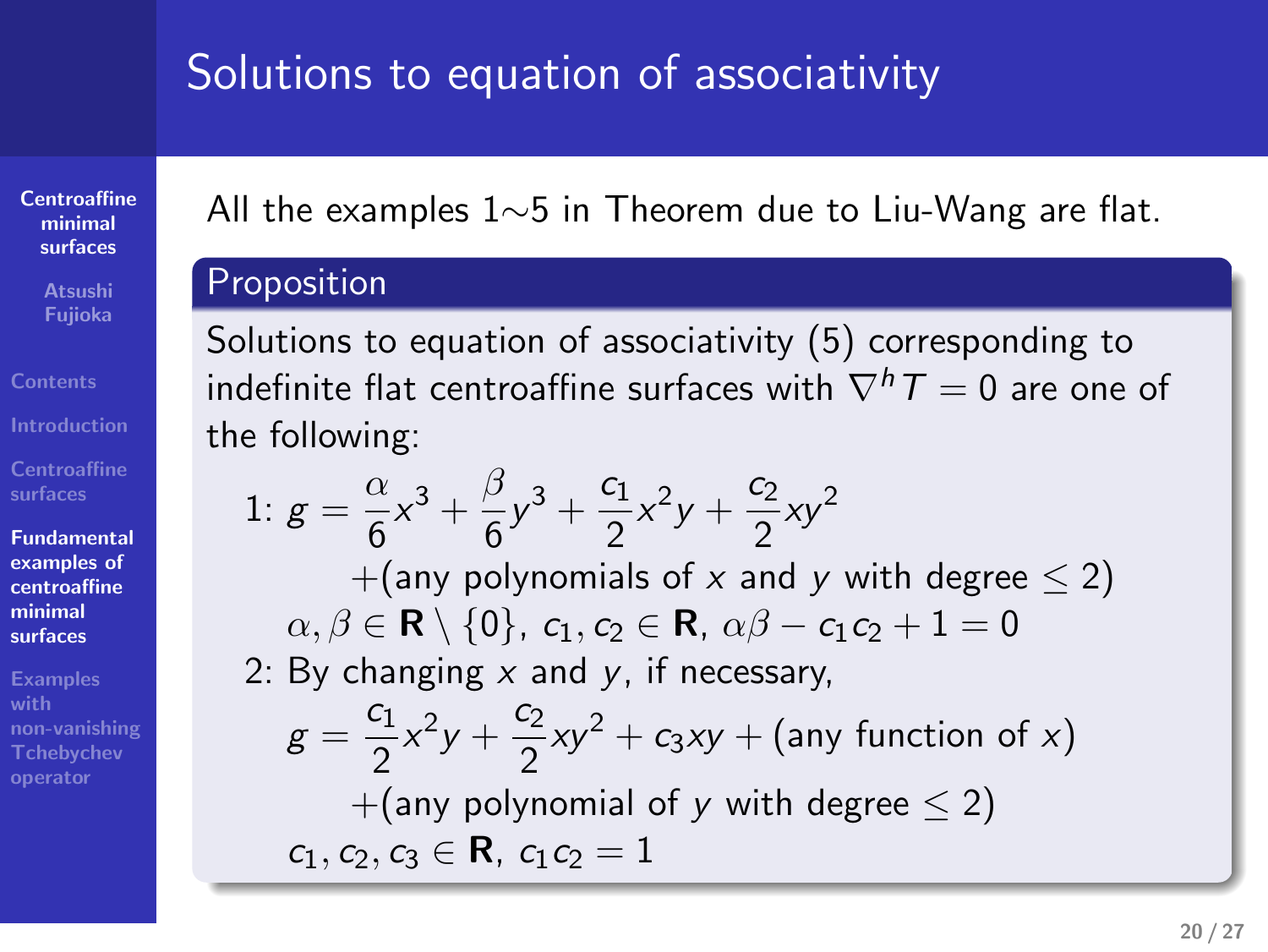# Solutions to equation of associativity

All the examples  $1 \sim 5$  in Theorem due to Liu-Wang are flat. *∼*5 in Theorem due to Liu-Wang are flat. . iolutions to equation of associativity<br>All the examples  $1 \circ 5$  in Theorem due to Lie-Wang are flat.<br>Proposition

**Centroaffine minimal surfaces**

**Atsushi Fujioka**

**Centroaffine surfaces Fundamental examples of centroaffine minimal surfaces**

**Examples with non-vanishing Tchebychev operator** . . Solutions to equation of associativity (5) corresponding to  $\sin$ definite flat centroaffine surfaces with  $\nabla^h T=0$  are one of the following:

1: 
$$
g = \frac{\alpha}{6}x^3 + \frac{\beta}{6}y^3 + \frac{c_1}{2}x^2y + \frac{c_2}{2}xy^2
$$
  
\n+(any polynomials of x and y with degree  $\leq 2$ )  
\n $\alpha, \beta \in \mathbb{R} \setminus \{0\}, c_1, c_2 \in \mathbb{R}, \alpha\beta - c_1c_2 + 1 = 0$   
\n2: By changing x and y, if necessary,  
\n $g = \frac{c_1}{2}x^2y + \frac{c_2}{2}xy^2 + c_3xy + \text{(any function of x)}$   
\n+(any polynomial of y with degree  $\leq 2$ )  
\n $c_1, c_2, c_3 \in \mathbb{R}, c_1c_2 = 1$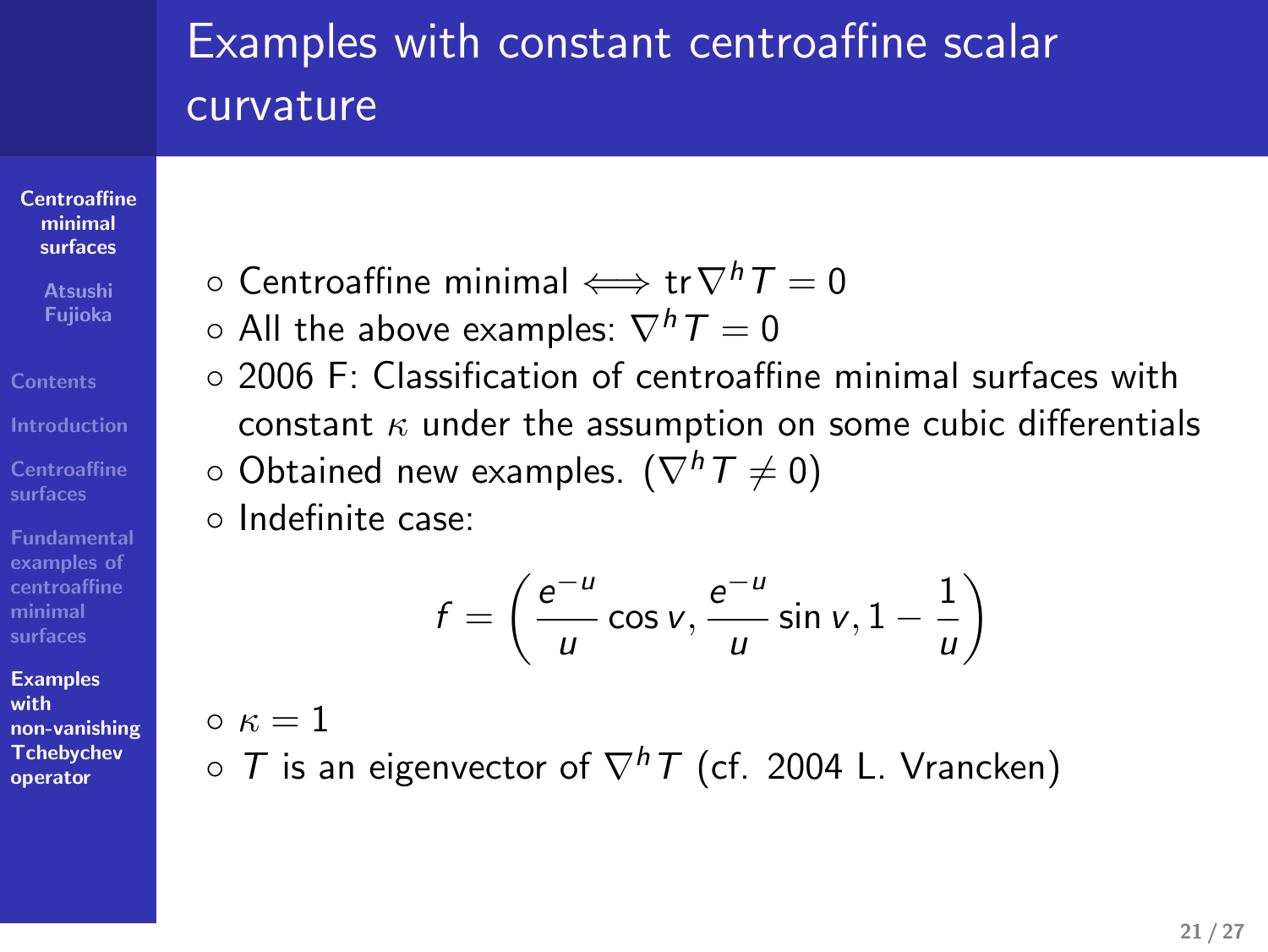# Examples with constant centroaffine scalar curvature

*◦* 2006 F: Classification of centroaffine minimal surfaces with constant *κ* under the assumption on some cubic differentials

*u u*cos *v*,  $\frac{e^{-u}}{u}$ 

 $\frac{-u}{u}$  sin *v*, 1 –  $\frac{1}{u}$ 

*u*  $\setminus$ 

- **Centroaffine minimal surfaces**
- **Atsushi Fujioka**
- **Contents Introduction**
- **Centroaffine surfaces**

**examples of centroaffine minimal**

#### **Examples with non-vanishing Tchebychev**

**operator**

*◦ T* is an eigenvector of *∇hT* (cf. 2004 L. Vrancken)

*◦* Centroaffine minimal *⇐⇒* tr*∇hT* = 0 *◦* All the above examples: *∇hT* = 0

*◦* Obtained new examples. (*∇hT 6*= 0)

 $f = \left(\frac{e^{-u}}{u}\right)$ 

*◦* Indefinite case:

 $\circ$   $\kappa = 1$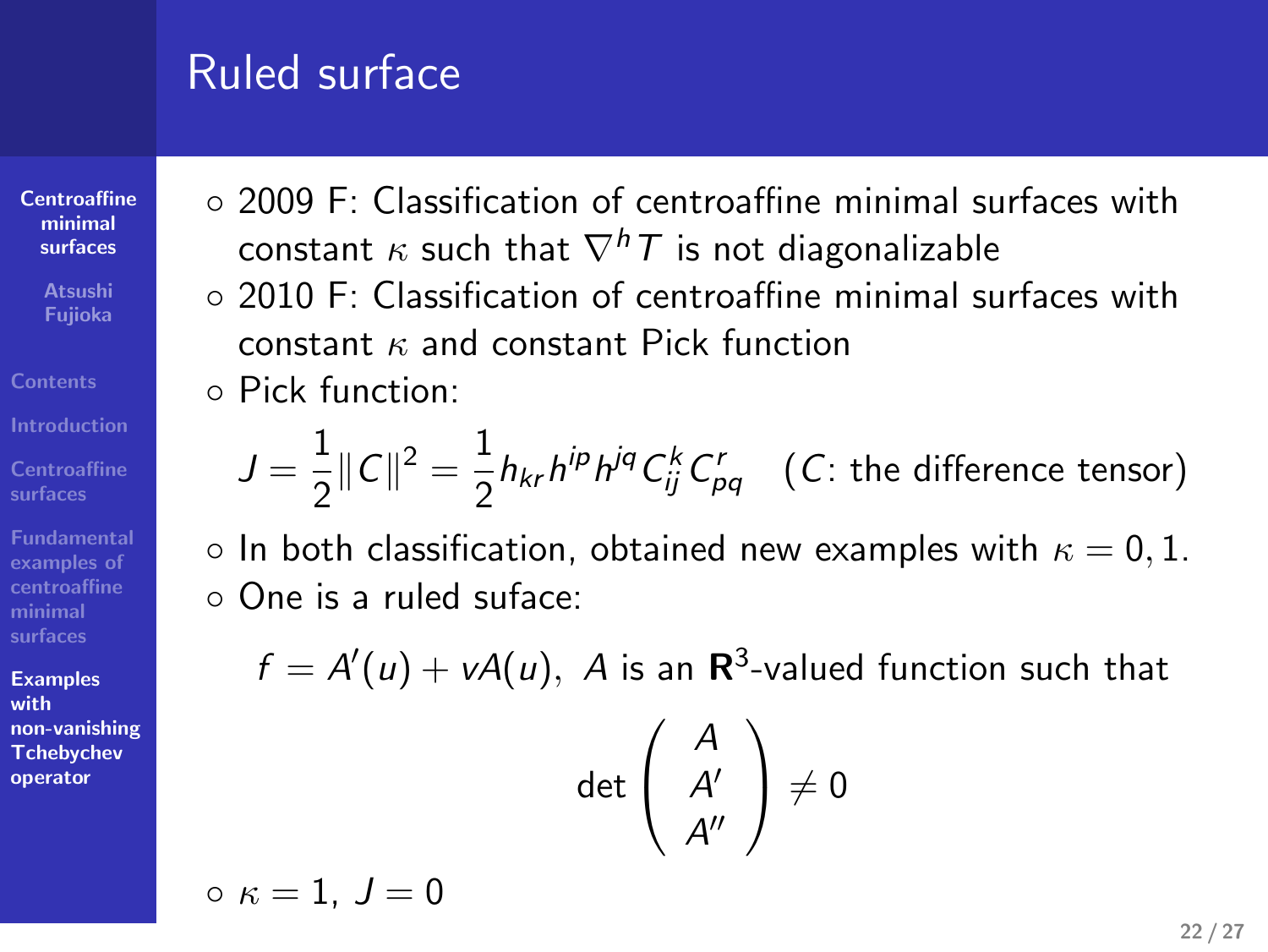# Ruled surface

- **Centroaffine minimal surfaces**
- **Atsushi Fujioka**
- 

**Centroaffine Fundamental examples of**

**centroaffine minimal surfaces**

**Examples with non-vanishing Tchebychev operator**

- *◦* 2009 F: Classification of centroaffine minimal surfaces with constant *κ* such that *∇hT* is not diagonalizable
	- *◦* 2010 F: Classification of centroaffine minimal surfaces with constant *κ* and constant Pick function
	- *◦* Pick function:

$$
J = \frac{1}{2} ||C||^2 = \frac{1}{2} h_{kr} h^{ip} h^{jq} C_{ij}^k C_{pq}^r
$$
 (C: the difference tensor)

*◦* In both classification, obtained new examples with *κ* = 0*,* 1. *◦* One is a ruled suface:

 $f = A'(u) + vA(u)$ , *A* is an **R**<sup>3</sup>-valued function such that d  $\sqrt{ }$ *A*  $\setminus$ 

$$
\det\left(\begin{array}{c}A\\A'\\A''\end{array}\right)\neq 0
$$

 $\circ$   $\kappa = 1, J = 0$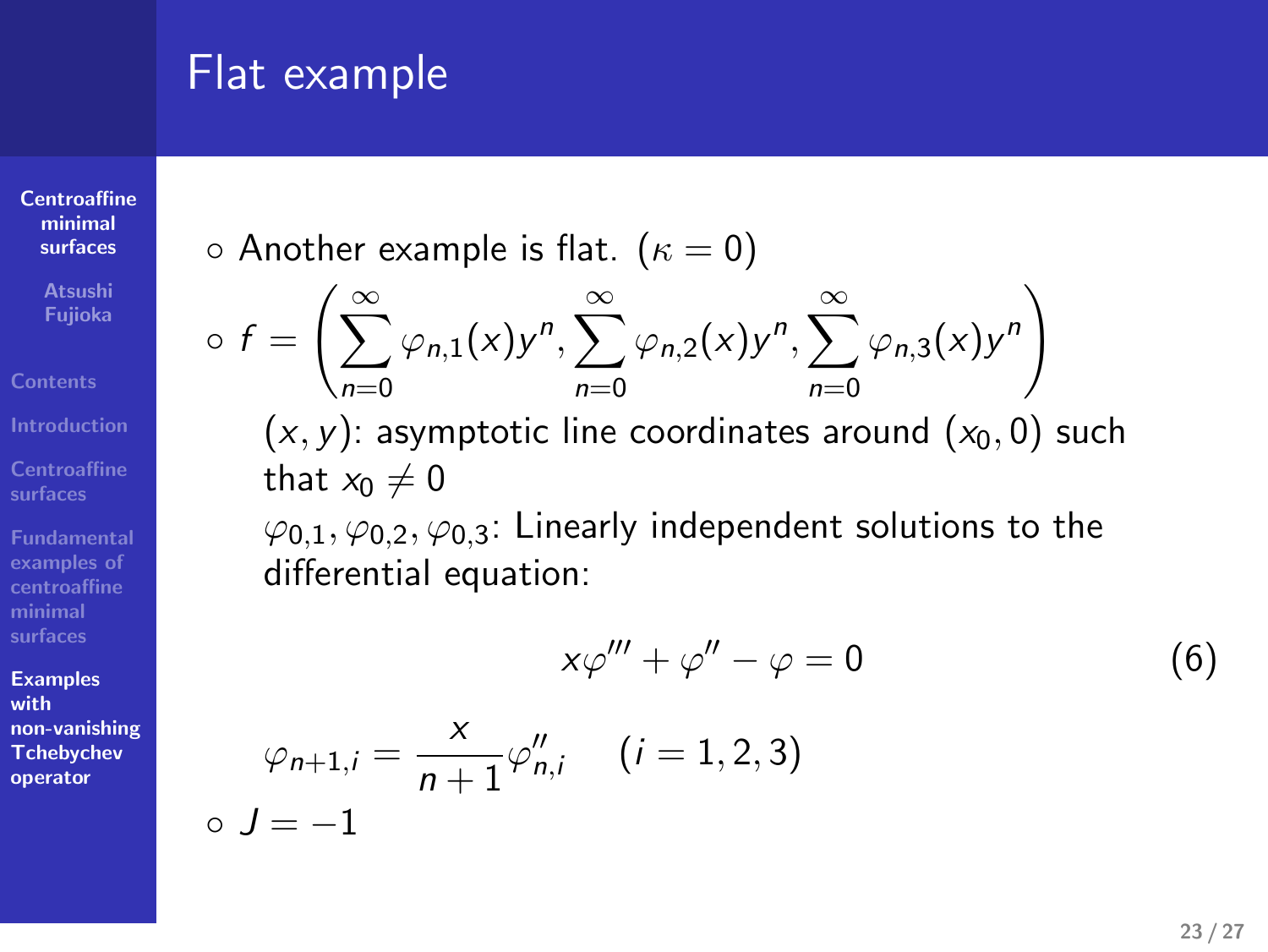# Flat example

**Centroaffine minimal surfaces**

**Atsushi Fujioka**

**Centroaffine surfaces Fundamental examples of centroaffine minimal surfaces**

**Examples with**

**non-vanishing Tchebychev operator**

*◦ J* = *−*1

*◦* Another example is flat. (*κ* = 0)

$$
\circ f = \left( \sum_{n=0}^{\infty} \varphi_{n,1}(x) y^n, \sum_{n=0}^{\infty} \varphi_{n,2}(x) y^n, \sum_{n=0}^{\infty} \varphi_{n,3}(x) y^n \right)
$$

 $(x, y)$ : asymptotic line coordinates around  $(x_0, 0)$  such that  $x_0 \neq 0$ 

*ϕ*0*,*1*, ϕ*0*,*2*, ϕ*0*,*3: Linearly independent solutions to the differential equation:

$$
x\varphi''' + \varphi'' - \varphi = 0 \tag{6}
$$

$$
\varphi_{n+1,i} = \frac{x}{n+1} \varphi''_{n,i} \quad (i = 1, 2, 3)
$$
  

$$
J = -1
$$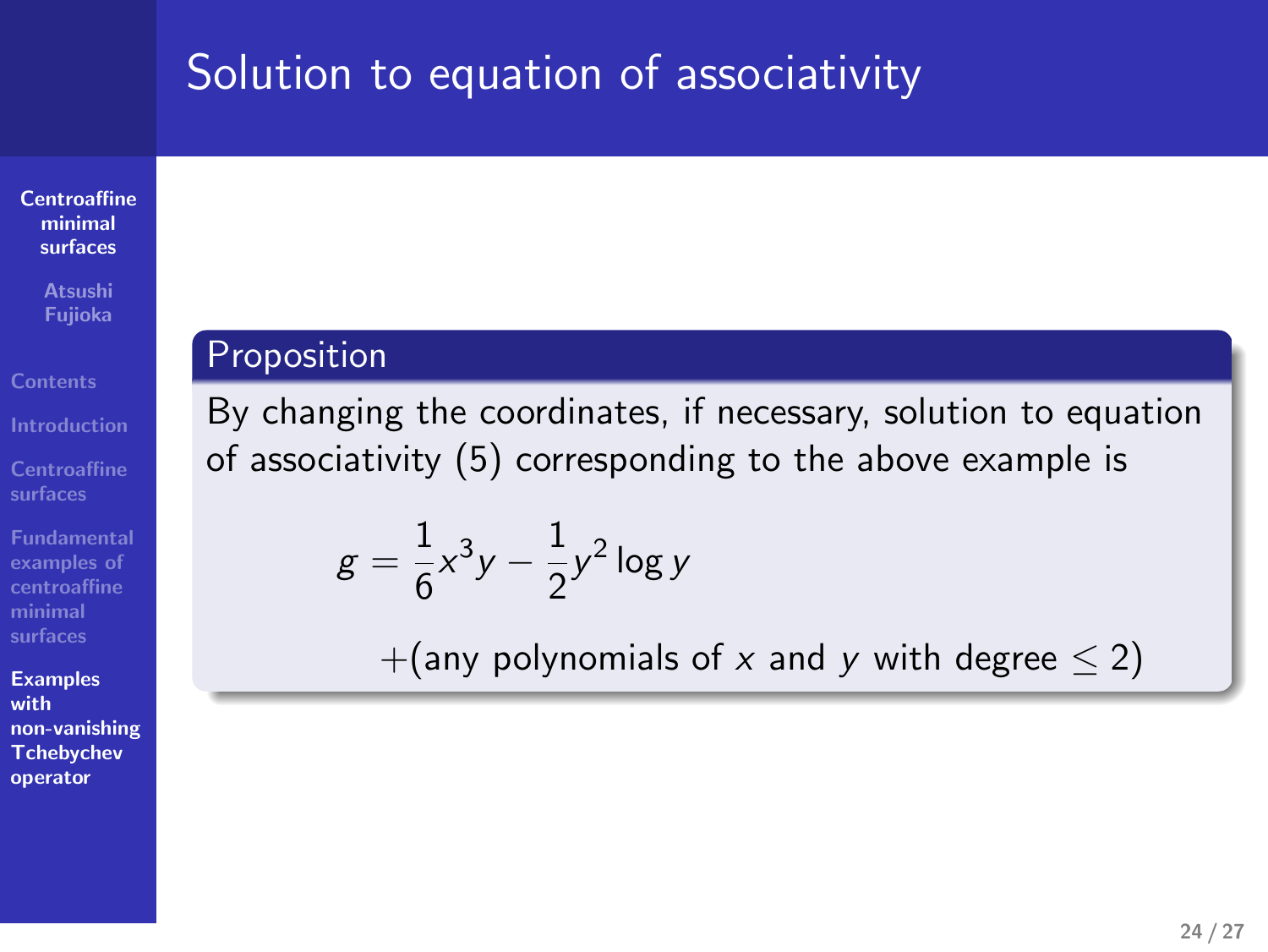# Solution to equation of associativity

**Centroaffine minimal surfaces**

# **Atsushi Fujioka**

**Centroaffine surfaces**

**Fundamental examples of centroaffine minimal surfaces Examples with**

**non-vanishing Tchebychev operator**

# **Proposition**

By changing the coordinates, if necessary, solution to equation of associativity (5) corresponding to the above example is

$$
g = \frac{1}{6}x^3y - \frac{1}{2}y^2 \log y
$$

+(any polynomials of *x* and *y* with degree *≤* 2)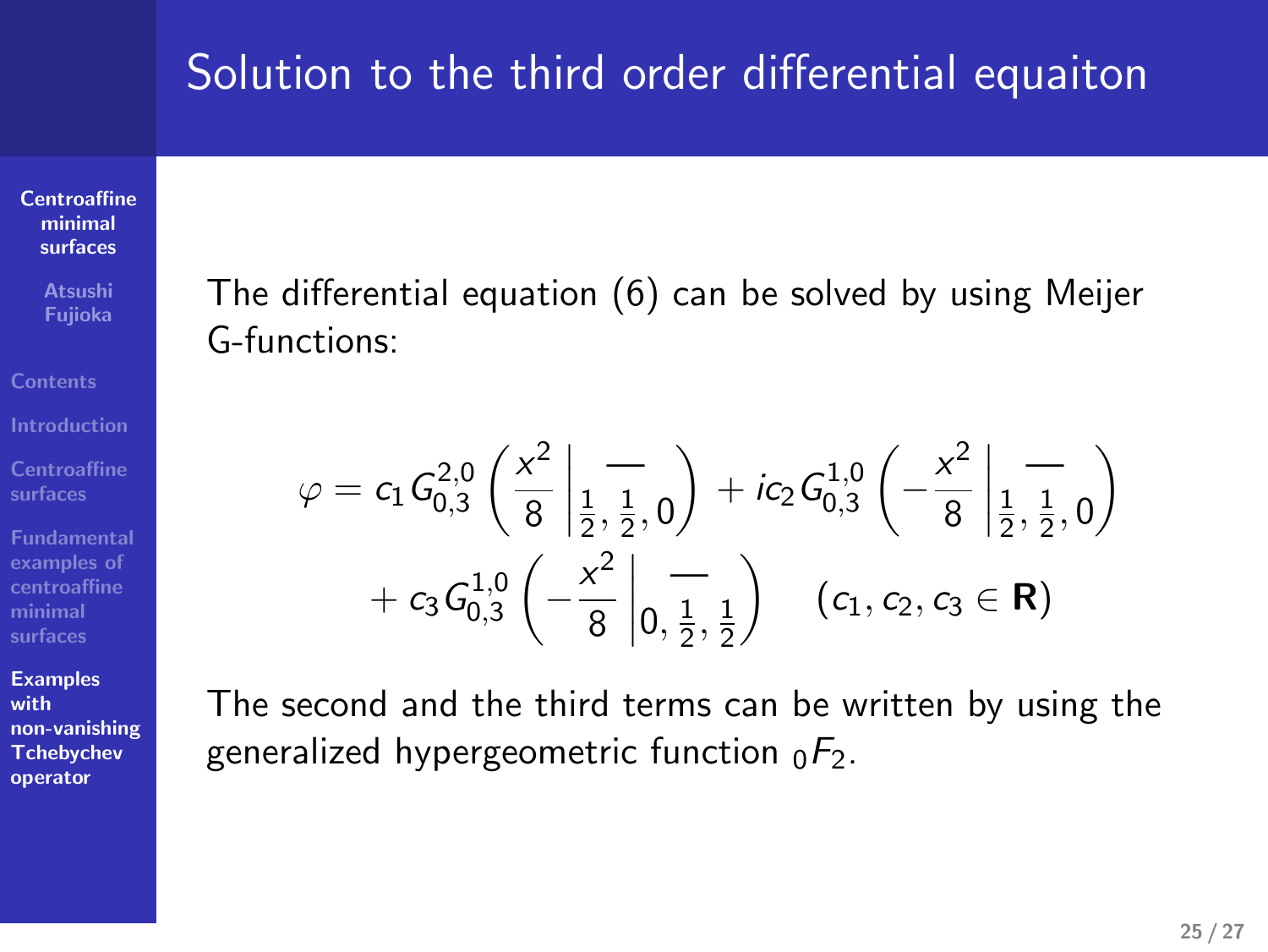# Solution to the third order differential equaiton

**Centroaffine minimal surfaces**

**Atsushi Fujioka**

**Centroaffine surfaces Fundamental examples of centroaffine minimal surfaces**

**Examples with non-vanishing Tchebychev operator** The differential equation (6) can be solved by using Meijer G-functions:

$$
\varphi = c_1 G_{0,3}^{2,0} \left( \frac{x^2}{8} \left| \frac{1}{\frac{1}{2}, \frac{1}{2}, 0} \right) + ic_2 G_{0,3}^{1,0} \left( -\frac{x^2}{8} \left| \frac{1}{\frac{1}{2}, \frac{1}{2}, 0} \right) \right) + c_3 G_{0,3}^{1,0} \left( -\frac{x^2}{8} \left| \frac{1}{0, \frac{1}{2}, \frac{1}{2}} \right) \right) \quad (c_1, c_2, c_3 \in \mathbf{R})
$$

The second and the third terms can be written by using the generalized hypergeometric function <sup>0</sup>*F*2.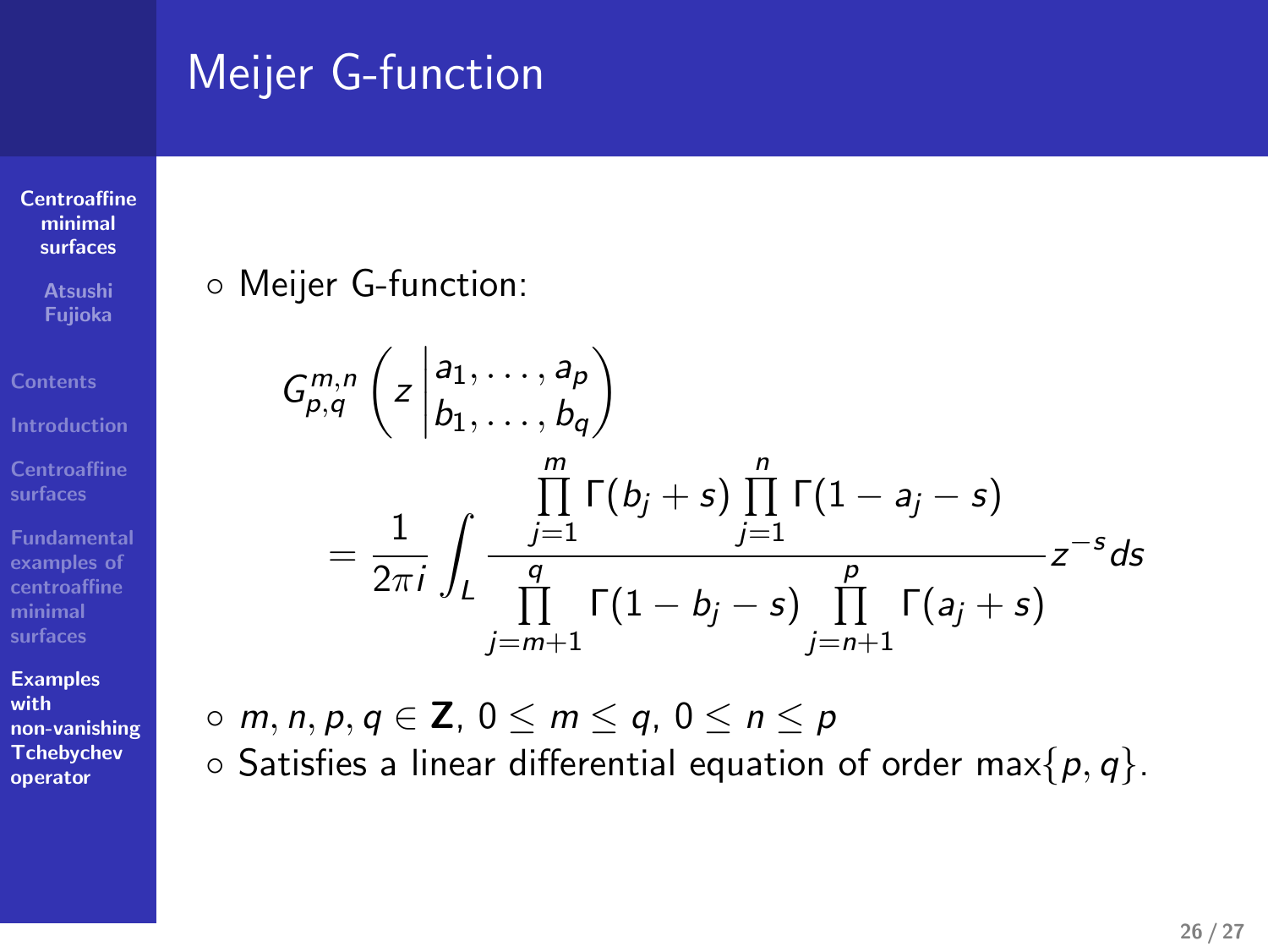# Meijer G-function

*◦* Meijer G-function:

 $=\frac{1}{2}$ 2*πi*

( *z* 

∫ *L*

*a*1*, . . . , a<sup>p</sup>*  $b_1, \ldots, b_q$ 

> ∏*m j*=1

∏ *q*

*j*=*m*+1

 $\setminus$ 

*G m,n p,q*

**Centroaffine minimal surfaces**

**Atsushi Fujioka**

**Introduction**

**Centroaffine surfaces examples of centroaffine minimal surfaces**

**Examples with**

**non-vanishing Tchebychev operator**

 $\Gamma(1-b_j-s)\prod$ 

Γ(*b<sup>j</sup>* + *s*) ∏*n*

*j*=1

 $\Gamma(1-a_j-s)$ 

Γ(*a<sup>j</sup>* + *s*)

*z −s ds*

*p*

*j*=*n*+1